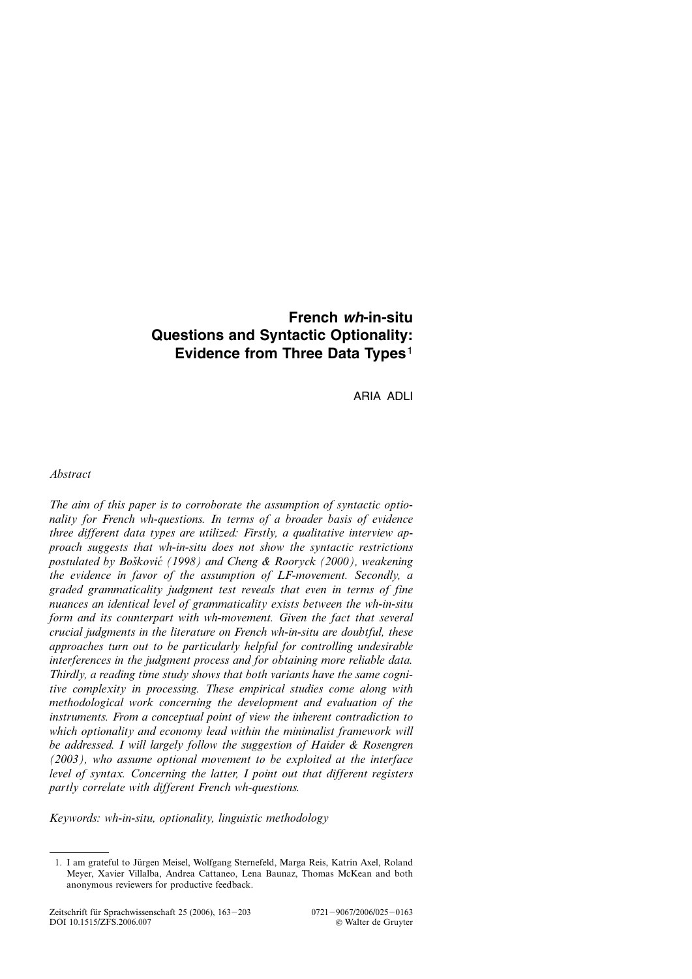# **French** *wh***-in-situ Questions and Syntactic Optionality: Evidence from Three Data Types**<sup>1</sup>

ARIA ADLI

# *Abstract*

*The aim of this paper is to corroborate the assumption of syntactic optionality for French wh-questions. In terms of a broader basis of evidence three different data types are utilized: Firstly, a qualitative interview approach suggests that wh-in-situ does not show the syntactic restrictions postulated by Bosˇkovic´ (1998) and Cheng & Rooryck (2000), weakening the evidence in favor of the assumption of LF-movement. Secondly, a graded grammaticality judgment test reveals that even in terms of fine nuances an identical level of grammaticality exists between the wh-in-situ form and its counterpart with wh-movement. Given the fact that several crucial judgments in the literature on French wh-in-situ are doubtful, these approaches turn out to be particularly helpful for controlling undesirable interferences in the judgment process and for obtaining more reliable data. Thirdly, a reading time study shows that both variants have the same cognitive complexity in processing. These empirical studies come along with methodological work concerning the development and evaluation of the instruments. From a conceptual point of view the inherent contradiction to which optionality and economy lead within the minimalist framework will be addressed. I will largely follow the suggestion of Haider & Rosengren (2003), who assume optional movement to be exploited at the interface level of syntax. Concerning the latter, I point out that different registers partly correlate with different French wh-questions.*

*Keywords: wh-in-situ, optionality, linguistic methodology*

<sup>1.</sup> I am grateful to Jürgen Meisel, Wolfgang Sternefeld, Marga Reis, Katrin Axel, Roland Meyer, Xavier Villalba, Andrea Cattaneo, Lena Baunaz, Thomas McKean and both anonymous reviewers for productive feedback.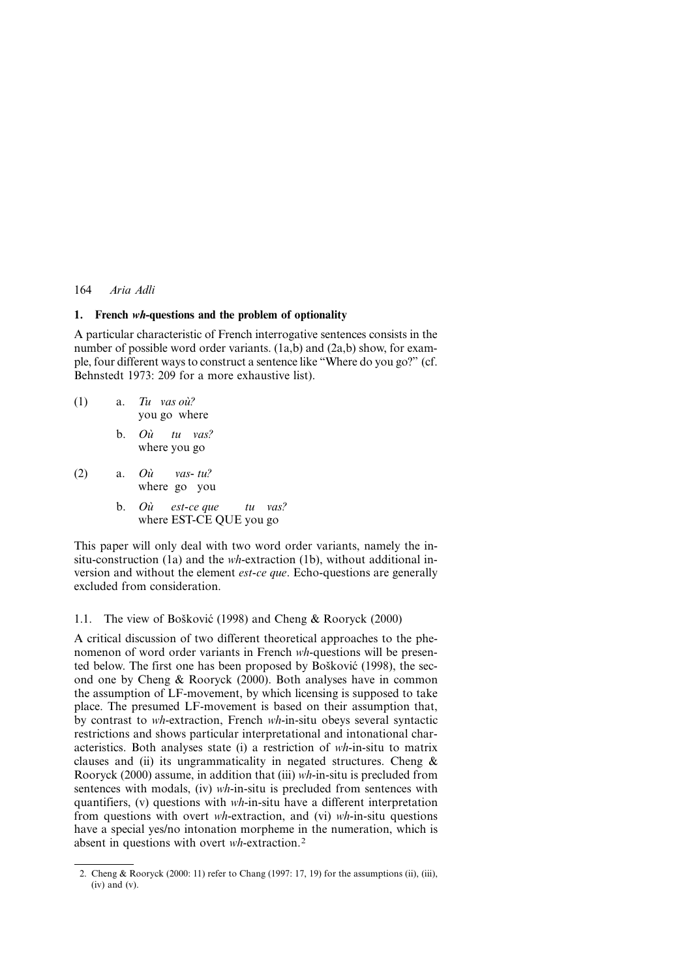#### **1. French** *wh***-questions and the problem of optionality**

A particular characteristic of French interrogative sentences consists in the number of possible word order variants. (1a,b) and (2a,b) show, for example, four different ways to construct a sentence like "Where do you go?" (cf. Behnstedt 1973: 209 for a more exhaustive list).

| (1) | a. Tu vas où?<br>you go where                       |
|-----|-----------------------------------------------------|
|     | b. <i>Où</i> tu vas?<br>where you go                |
| (2) | a. $O\dot{u}$ vas-tu?<br>where go you               |
|     | b. Où est-ce que tu vas?<br>where EST-CE QUE you go |

This paper will only deal with two word order variants, namely the insitu-construction (1a) and the *wh*-extraction (1b), without additional inversion and without the element *est-ce que*. Echo-questions are generally excluded from consideration.

# 1.1. The view of Bošković (1998) and Cheng  $&$  Rooryck (2000)

A critical discussion of two different theoretical approaches to the phenomenon of word order variants in French *wh*-questions will be presented below. The first one has been proposed by Bošković (1998), the second one by Cheng & Rooryck (2000). Both analyses have in common the assumption of LF-movement, by which licensing is supposed to take place. The presumed LF-movement is based on their assumption that, by contrast to *wh*-extraction, French *wh-*in-situ obeys several syntactic restrictions and shows particular interpretational and intonational characteristics. Both analyses state (i) a restriction of *wh-*in-situ to matrix clauses and (ii) its ungrammaticality in negated structures. Cheng  $\&$ Rooryck (2000) assume, in addition that (iii) *wh-*in-situ is precluded from sentences with modals, (iv) *wh-*in-situ is precluded from sentences with quantifiers, (v) questions with *wh-*in-situ have a different interpretation from questions with overt *wh-*extraction, and (vi) *wh-*in-situ questions have a special yes/no intonation morpheme in the numeration, which is absent in questions with overt *wh-*extraction.2

<sup>2.</sup> Cheng & Rooryck (2000: 11) refer to Chang (1997: 17, 19) for the assumptions (ii), (iii),  $(iv)$  and  $(v)$ .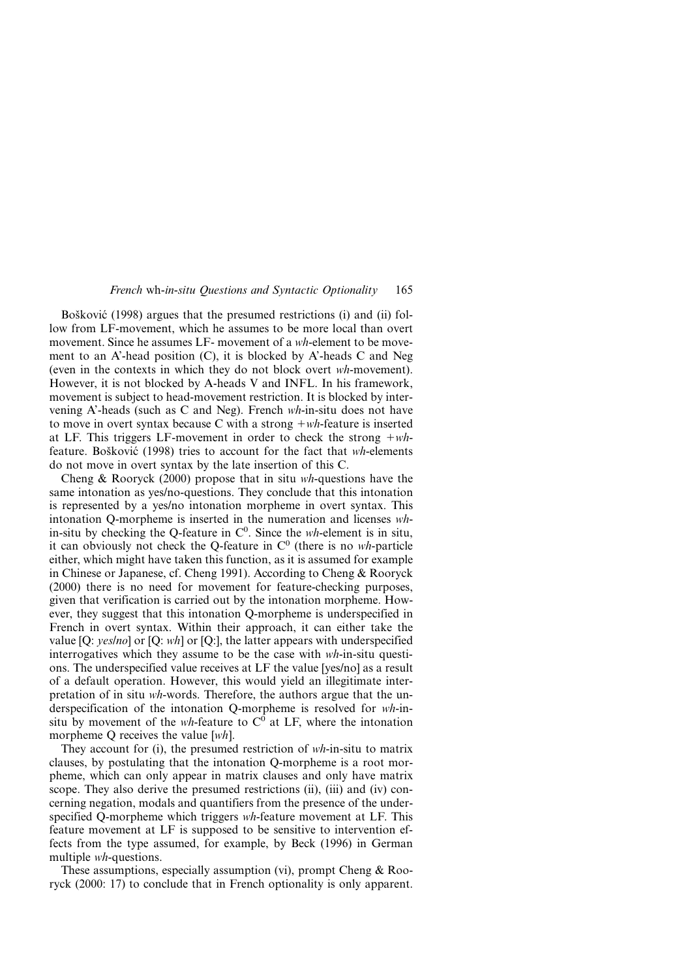Bošković (1998) argues that the presumed restrictions (i) and (ii) follow from LF-movement, which he assumes to be more local than overt movement. Since he assumes LF- movement of a *wh*-element to be movement to an A'-head position (C), it is blocked by A'-heads C and Neg (even in the contexts in which they do not block overt *wh-*movement). However, it is not blocked by A-heads V and INFL. In his framework, movement is subject to head-movement restriction. It is blocked by intervening A'-heads (such as C and Neg). French *wh-*in-situ does not have to move in overt syntax because C with a strong  $+wh$ -feature is inserted at LF. This triggers LF-movement in order to check the strong  $+wh$ feature. Bošković (1998) tries to account for the fact that *wh*-elements do not move in overt syntax by the late insertion of this C.

Cheng & Rooryck (2000) propose that in situ *wh*-questions have the same intonation as yes/no-questions. They conclude that this intonation is represented by a yes/no intonation morpheme in overt syntax. This intonation Q-morpheme is inserted in the numeration and licenses *wh*in-situ by checking the Q-feature in  $C^0$ . Since the *wh*-element is in situ, it can obviously not check the Q-feature in  $C^0$  (there is no *wh*-particle either, which might have taken this function, as it is assumed for example in Chinese or Japanese, cf. Cheng 1991). According to Cheng & Rooryck (2000) there is no need for movement for feature-checking purposes, given that verification is carried out by the intonation morpheme. However, they suggest that this intonation Q-morpheme is underspecified in French in overt syntax. Within their approach, it can either take the value [Q: *yes/no*] or [Q: *wh*] or [Q:], the latter appears with underspecified interrogatives which they assume to be the case with *wh*-in-situ questions. The underspecified value receives at LF the value [yes/no] as a result of a default operation. However, this would yield an illegitimate interpretation of in situ *wh*-words. Therefore, the authors argue that the underspecification of the intonation Q-morpheme is resolved for *wh-*insitu by movement of the *wh*-feature to  $C^0$  at LF, where the intonation morpheme Q receives the value [*wh*].

They account for (i), the presumed restriction of *wh-*in-situ to matrix clauses, by postulating that the intonation Q-morpheme is a root morpheme, which can only appear in matrix clauses and only have matrix scope. They also derive the presumed restrictions (ii), (iii) and (iv) concerning negation, modals and quantifiers from the presence of the underspecified Q-morpheme which triggers *wh*-feature movement at LF. This feature movement at LF is supposed to be sensitive to intervention effects from the type assumed, for example, by Beck (1996) in German multiple *wh*-questions.

These assumptions, especially assumption (vi), prompt Cheng & Rooryck (2000: 17) to conclude that in French optionality is only apparent.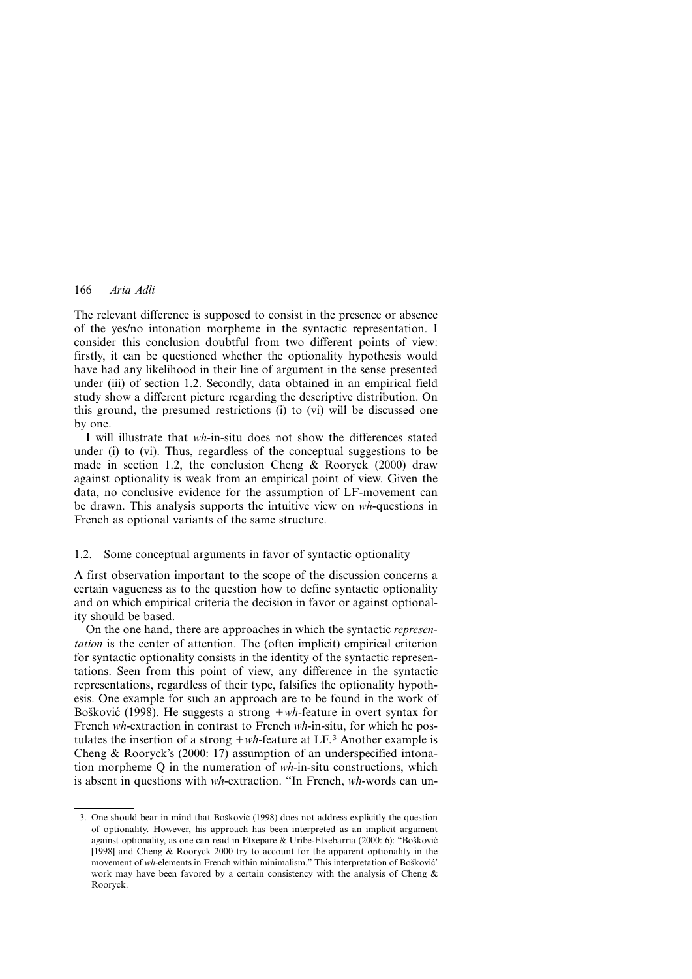The relevant difference is supposed to consist in the presence or absence of the yes/no intonation morpheme in the syntactic representation. I consider this conclusion doubtful from two different points of view: firstly, it can be questioned whether the optionality hypothesis would have had any likelihood in their line of argument in the sense presented under (iii) of section 1.2. Secondly, data obtained in an empirical field study show a different picture regarding the descriptive distribution. On this ground, the presumed restrictions (i) to (vi) will be discussed one by one.

I will illustrate that *wh-*in-situ does not show the differences stated under (i) to (vi). Thus, regardless of the conceptual suggestions to be made in section 1.2, the conclusion Cheng & Rooryck (2000) draw against optionality is weak from an empirical point of view. Given the data, no conclusive evidence for the assumption of LF-movement can be drawn. This analysis supports the intuitive view on *wh-*questions in French as optional variants of the same structure.

#### 1.2. Some conceptual arguments in favor of syntactic optionality

A first observation important to the scope of the discussion concerns a certain vagueness as to the question how to define syntactic optionality and on which empirical criteria the decision in favor or against optionality should be based.

On the one hand, there are approaches in which the syntactic *representation* is the center of attention. The (often implicit) empirical criterion for syntactic optionality consists in the identity of the syntactic representations. Seen from this point of view, any difference in the syntactic representations, regardless of their type, falsifies the optionality hypothesis. One example for such an approach are to be found in the work of Bošković (1998). He suggests a strong *+wh-feature in overt syntax for* French *wh-*extraction in contrast to French *wh-*in-situ, for which he postulates the insertion of a strong  $+wh$ -feature at LF.<sup>3</sup> Another example is Cheng & Rooryck's (2000: 17) assumption of an underspecified intonation morpheme Q in the numeration of *wh*-in-situ constructions, which is absent in questions with *wh*-extraction. "In French, *wh*-words can un-

<sup>3.</sup> One should bear in mind that Bošković (1998) does not address explicitly the question of optionality. However, his approach has been interpreted as an implicit argument against optionality, as one can read in Etxepare & Uribe-Etxebarria (2000: 6): "Bošković [1998] and Cheng & Rooryck 2000 try to account for the apparent optionality in the movement of *wh*-elements in French within minimalism." This interpretation of Bošković' work may have been favored by a certain consistency with the analysis of Cheng & Rooryck.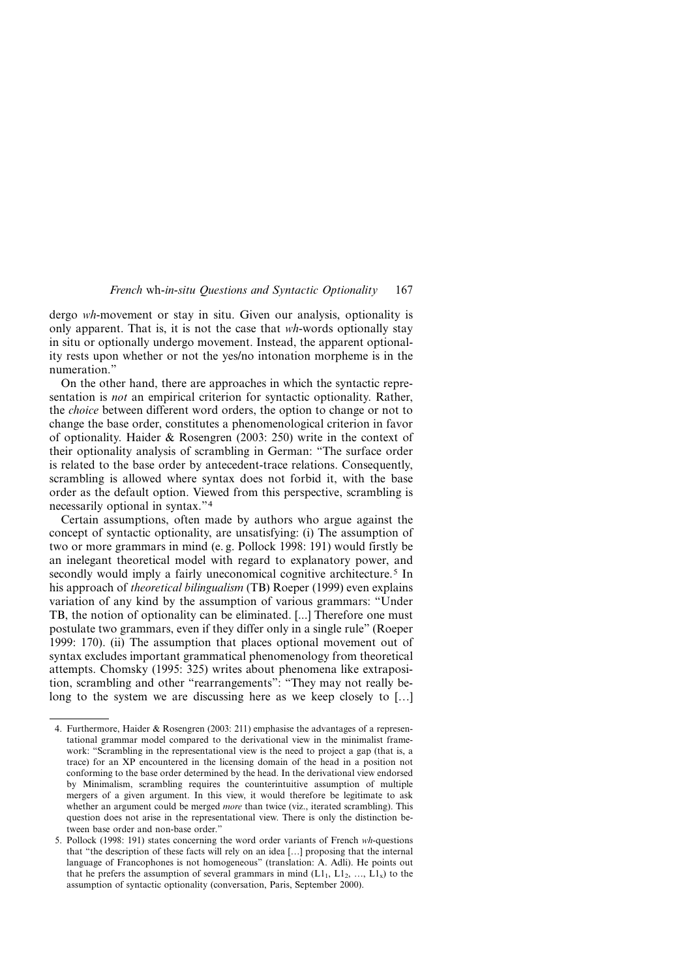dergo *wh*-movement or stay in situ. Given our analysis, optionality is only apparent. That is, it is not the case that *wh*-words optionally stay in situ or optionally undergo movement. Instead, the apparent optionality rests upon whether or not the yes/no intonation morpheme is in the numeration."

On the other hand, there are approaches in which the syntactic representation is *not* an empirical criterion for syntactic optionality. Rather, the *choice* between different word orders, the option to change or not to change the base order, constitutes a phenomenological criterion in favor of optionality. Haider & Rosengren (2003: 250) write in the context of their optionality analysis of scrambling in German: "The surface order is related to the base order by antecedent-trace relations. Consequently, scrambling is allowed where syntax does not forbid it, with the base order as the default option. Viewed from this perspective, scrambling is necessarily optional in syntax."4

Certain assumptions, often made by authors who argue against the concept of syntactic optionality, are unsatisfying: (i) The assumption of two or more grammars in mind (e. g. Pollock 1998: 191) would firstly be an inelegant theoretical model with regard to explanatory power, and secondly would imply a fairly uneconomical cognitive architecture.<sup>5</sup> In his approach of *theoretical bilingualism* (TB) Roeper (1999) even explains variation of any kind by the assumption of various grammars: "Under TB, the notion of optionality can be eliminated. [...] Therefore one must postulate two grammars, even if they differ only in a single rule" (Roeper 1999: 170). (ii) The assumption that places optional movement out of syntax excludes important grammatical phenomenology from theoretical attempts. Chomsky (1995: 325) writes about phenomena like extraposition, scrambling and other "rearrangements": "They may not really belong to the system we are discussing here as we keep closely to [...]

<sup>4.</sup> Furthermore, Haider & Rosengren (2003: 211) emphasise the advantages of a representational grammar model compared to the derivational view in the minimalist framework: "Scrambling in the representational view is the need to project a gap (that is, a trace) for an XP encountered in the licensing domain of the head in a position not conforming to the base order determined by the head. In the derivational view endorsed by Minimalism, scrambling requires the counterintuitive assumption of multiple mergers of a given argument. In this view, it would therefore be legitimate to ask whether an argument could be merged *more* than twice (viz., iterated scrambling). This question does not arise in the representational view. There is only the distinction between base order and non-base order."

<sup>5.</sup> Pollock (1998: 191) states concerning the word order variants of French *wh*-questions that "the description of these facts will rely on an idea […] proposing that the internal language of Francophones is not homogeneous" (translation: A. Adli). He points out that he prefers the assumption of several grammars in mind  $(L1_1, L1_2, ..., L1_x)$  to the assumption of syntactic optionality (conversation, Paris, September 2000).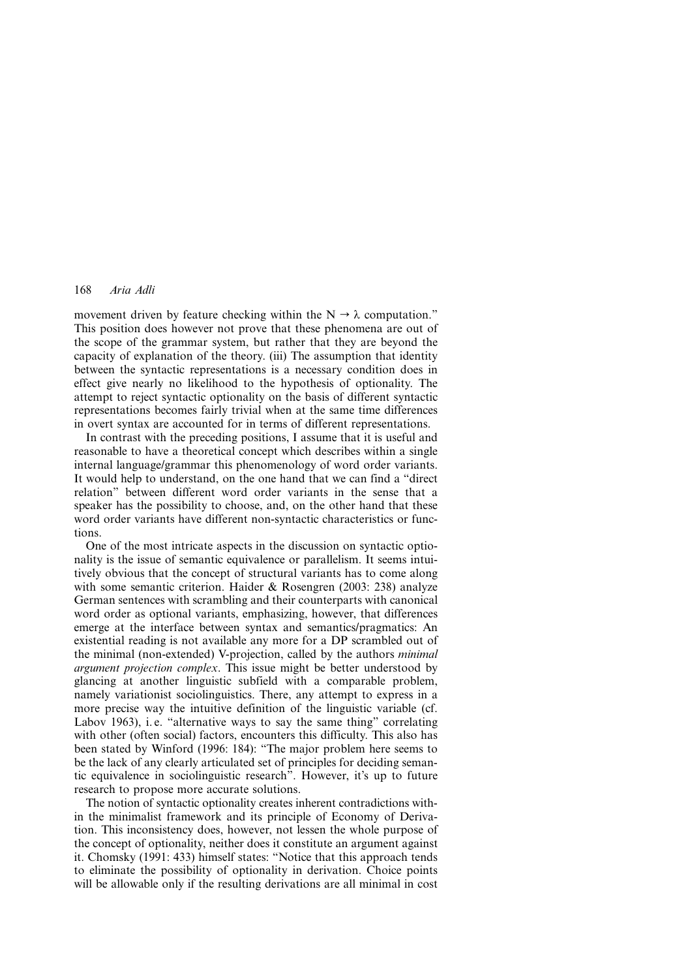movement driven by feature checking within the  $N \rightarrow \lambda$  computation." This position does however not prove that these phenomena are out of the scope of the grammar system, but rather that they are beyond the capacity of explanation of the theory. (iii) The assumption that identity between the syntactic representations is a necessary condition does in effect give nearly no likelihood to the hypothesis of optionality. The attempt to reject syntactic optionality on the basis of different syntactic representations becomes fairly trivial when at the same time differences in overt syntax are accounted for in terms of different representations.

In contrast with the preceding positions, I assume that it is useful and reasonable to have a theoretical concept which describes within a single internal language/grammar this phenomenology of word order variants. It would help to understand, on the one hand that we can find a "direct relation" between different word order variants in the sense that a speaker has the possibility to choose, and, on the other hand that these word order variants have different non-syntactic characteristics or functions.

One of the most intricate aspects in the discussion on syntactic optionality is the issue of semantic equivalence or parallelism. It seems intuitively obvious that the concept of structural variants has to come along with some semantic criterion. Haider & Rosengren (2003: 238) analyze German sentences with scrambling and their counterparts with canonical word order as optional variants, emphasizing, however, that differences emerge at the interface between syntax and semantics/pragmatics: An existential reading is not available any more for a DP scrambled out of the minimal (non-extended) V-projection, called by the authors *minimal argument projection complex*. This issue might be better understood by glancing at another linguistic subfield with a comparable problem, namely variationist sociolinguistics. There, any attempt to express in a more precise way the intuitive definition of the linguistic variable (cf. Labov 1963), i. e. "alternative ways to say the same thing" correlating with other (often social) factors, encounters this difficulty. This also has been stated by Winford (1996: 184): "The major problem here seems to be the lack of any clearly articulated set of principles for deciding semantic equivalence in sociolinguistic research". However, it's up to future research to propose more accurate solutions.

The notion of syntactic optionality creates inherent contradictions within the minimalist framework and its principle of Economy of Derivation. This inconsistency does, however, not lessen the whole purpose of the concept of optionality, neither does it constitute an argument against it. Chomsky (1991: 433) himself states: "Notice that this approach tends to eliminate the possibility of optionality in derivation. Choice points will be allowable only if the resulting derivations are all minimal in cost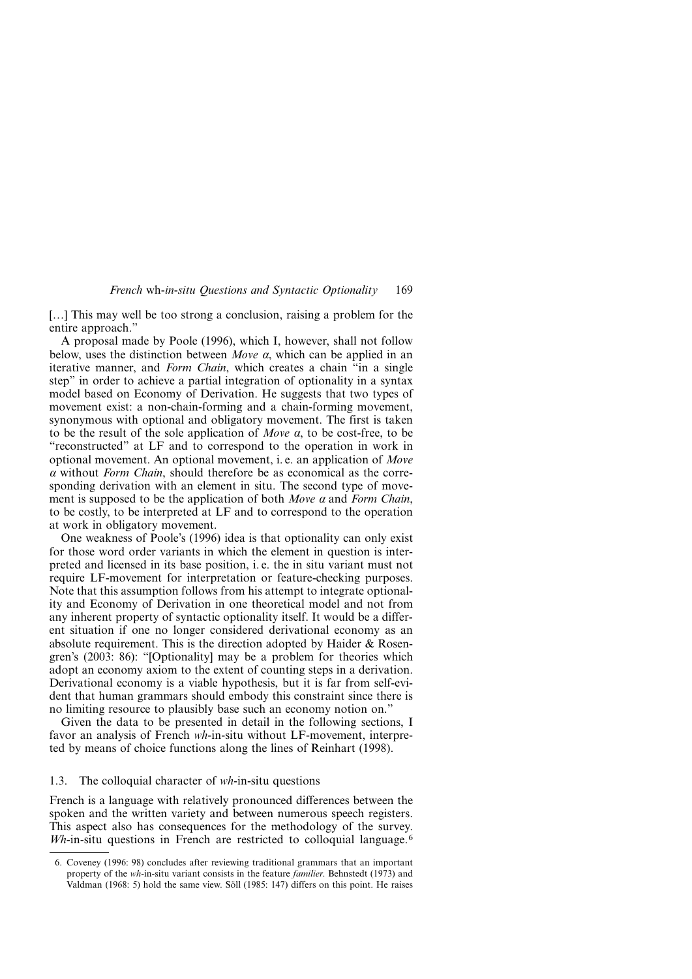[...] This may well be too strong a conclusion, raising a problem for the entire approach."

A proposal made by Poole (1996), which I, however, shall not follow below, uses the distinction between *Move*  $\alpha$ , which can be applied in an iterative manner, and *Form Chain*, which creates a chain "in a single step" in order to achieve a partial integration of optionality in a syntax model based on Economy of Derivation. He suggests that two types of movement exist: a non-chain-forming and a chain-forming movement, synonymous with optional and obligatory movement. The first is taken to be the result of the sole application of *Move* <sup>a</sup>, to be cost-free, to be "reconstructed" at LF and to correspond to the operation in work in optional movement. An optional movement, i. e. an application of *Move* <sup>a</sup> without *Form Chain*, should therefore be as economical as the corresponding derivation with an element in situ. The second type of movement is supposed to be the application of both *Move*  $\alpha$  and *Form Chain*, to be costly, to be interpreted at LF and to correspond to the operation at work in obligatory movement.

One weakness of Poole's (1996) idea is that optionality can only exist for those word order variants in which the element in question is interpreted and licensed in its base position, i. e. the in situ variant must not require LF-movement for interpretation or feature-checking purposes. Note that this assumption follows from his attempt to integrate optionality and Economy of Derivation in one theoretical model and not from any inherent property of syntactic optionality itself. It would be a different situation if one no longer considered derivational economy as an absolute requirement. This is the direction adopted by Haider & Rosengren's (2003: 86): "[Optionality] may be a problem for theories which adopt an economy axiom to the extent of counting steps in a derivation. Derivational economy is a viable hypothesis, but it is far from self-evident that human grammars should embody this constraint since there is no limiting resource to plausibly base such an economy notion on."

Given the data to be presented in detail in the following sections, I favor an analysis of French *wh*-in-situ without LF-movement, interpreted by means of choice functions along the lines of Reinhart (1998).

### 1.3. The colloquial character of *wh*-in-situ questions

French is a language with relatively pronounced differences between the spoken and the written variety and between numerous speech registers. This aspect also has consequences for the methodology of the survey. *Wh*-in-situ questions in French are restricted to colloquial language.<sup>6</sup>

<sup>6.</sup> Coveney (1996: 98) concludes after reviewing traditional grammars that an important property of the *wh*-in-situ variant consists in the feature *familier*. Behnstedt (1973) and Valdman (1968: 5) hold the same view. Söll (1985: 147) differs on this point. He raises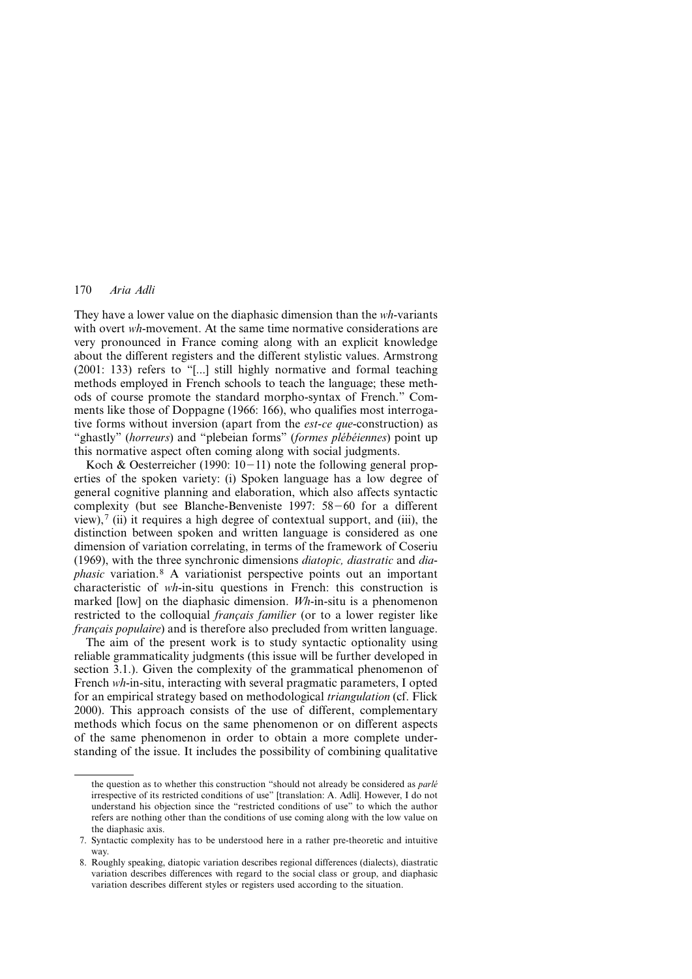They have a lower value on the diaphasic dimension than the *wh*-variants with overt *wh*-movement. At the same time normative considerations are very pronounced in France coming along with an explicit knowledge about the different registers and the different stylistic values. Armstrong (2001: 133) refers to "[...] still highly normative and formal teaching methods employed in French schools to teach the language; these methods of course promote the standard morpho-syntax of French." Comments like those of Doppagne (1966: 166), who qualifies most interrogative forms without inversion (apart from the *est-ce que*-construction) as "ghastly" (horreurs) and "plebeian forms" (formes plébéiennes) point up this normative aspect often coming along with social judgments.

Koch & Oesterreicher (1990:  $10-11$ ) note the following general properties of the spoken variety: (i) Spoken language has a low degree of general cognitive planning and elaboration, which also affects syntactic complexity (but see Blanche-Benveniste 1997: 58-60 for a different view), $\frac{7}{1}$  (ii) it requires a high degree of contextual support, and (iii), the distinction between spoken and written language is considered as one dimension of variation correlating, in terms of the framework of Coseriu (1969), with the three synchronic dimensions *diatopic, diastratic* and *diaphasic* variation.8 A variationist perspective points out an important characteristic of *wh*-in-situ questions in French: this construction is marked [low] on the diaphasic dimension. *Wh*-in-situ is a phenomenon restricted to the colloquial *français familier* (or to a lower register like *français populaire*) and is therefore also precluded from written language.

The aim of the present work is to study syntactic optionality using reliable grammaticality judgments (this issue will be further developed in section 3.1.). Given the complexity of the grammatical phenomenon of French *wh*-in-situ, interacting with several pragmatic parameters, I opted for an empirical strategy based on methodological *triangulation* (cf. Flick 2000). This approach consists of the use of different, complementary methods which focus on the same phenomenon or on different aspects of the same phenomenon in order to obtain a more complete understanding of the issue. It includes the possibility of combining qualitative

the question as to whether this construction "should not already be considered as *parle´* irrespective of its restricted conditions of use" [translation: A. Adli]. However, I do not understand his objection since the "restricted conditions of use" to which the author refers are nothing other than the conditions of use coming along with the low value on the diaphasic axis.

<sup>7.</sup> Syntactic complexity has to be understood here in a rather pre-theoretic and intuitive way.

<sup>8.</sup> Roughly speaking, diatopic variation describes regional differences (dialects), diastratic variation describes differences with regard to the social class or group, and diaphasic variation describes different styles or registers used according to the situation.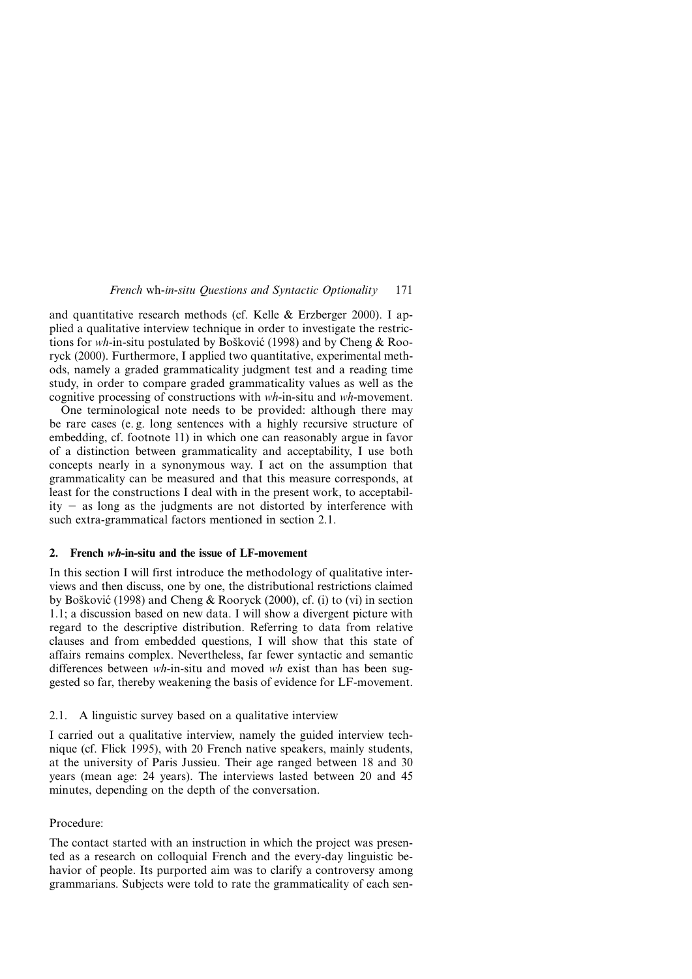and quantitative research methods (cf. Kelle & Erzberger 2000). I applied a qualitative interview technique in order to investigate the restrictions for *wh*-in-situ postulated by Bošković (1998) and by Cheng & Rooryck (2000). Furthermore, I applied two quantitative, experimental methods, namely a graded grammaticality judgment test and a reading time study, in order to compare graded grammaticality values as well as the cognitive processing of constructions with *wh*-in-situ and *wh*-movement.

One terminological note needs to be provided: although there may be rare cases (e. g. long sentences with a highly recursive structure of embedding, cf. footnote 11) in which one can reasonably argue in favor of a distinction between grammaticality and acceptability, I use both concepts nearly in a synonymous way. I act on the assumption that grammaticality can be measured and that this measure corresponds, at least for the constructions I deal with in the present work, to acceptability - as long as the judgments are not distorted by interference with such extra-grammatical factors mentioned in section 2.1.

# **2. French** *wh***-in-situ and the issue of LF-movement**

In this section I will first introduce the methodology of qualitative interviews and then discuss, one by one, the distributional restrictions claimed by Bošković (1998) and Cheng & Rooryck (2000), cf. (i) to (vi) in section 1.1; a discussion based on new data. I will show a divergent picture with regard to the descriptive distribution. Referring to data from relative clauses and from embedded questions, I will show that this state of affairs remains complex. Nevertheless, far fewer syntactic and semantic differences between *wh*-in-situ and moved *wh* exist than has been suggested so far, thereby weakening the basis of evidence for LF-movement.

#### 2.1. A linguistic survey based on a qualitative interview

I carried out a qualitative interview, namely the guided interview technique (cf. Flick 1995), with 20 French native speakers, mainly students, at the university of Paris Jussieu. Their age ranged between 18 and 30 years (mean age: 24 years). The interviews lasted between 20 and 45 minutes, depending on the depth of the conversation.

# Procedure:

The contact started with an instruction in which the project was presented as a research on colloquial French and the every-day linguistic behavior of people. Its purported aim was to clarify a controversy among grammarians. Subjects were told to rate the grammaticality of each sen-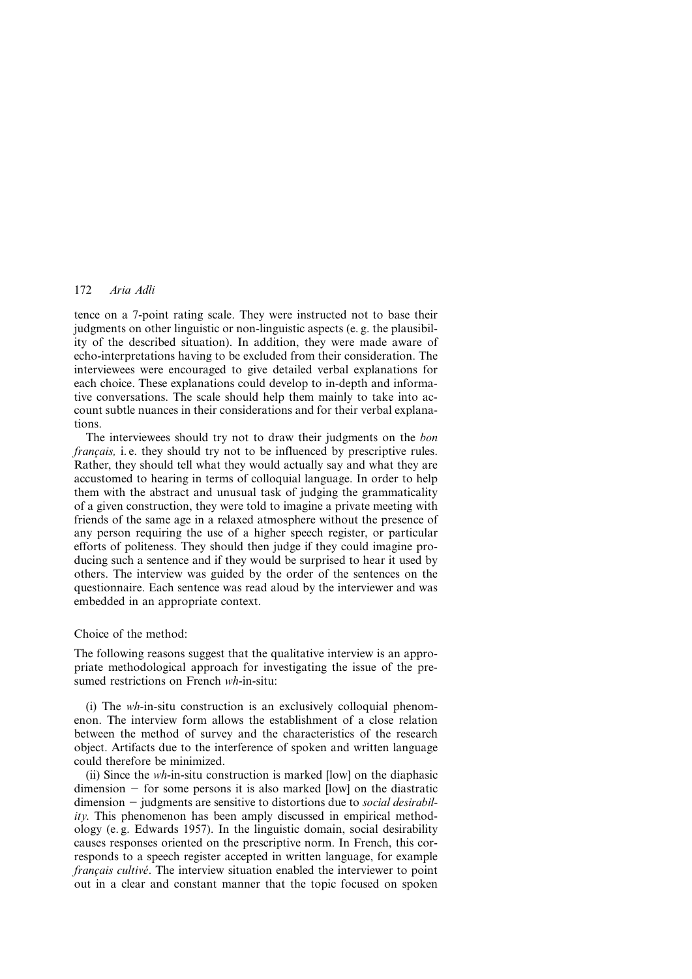tence on a 7-point rating scale. They were instructed not to base their judgments on other linguistic or non-linguistic aspects (e. g. the plausibility of the described situation). In addition, they were made aware of echo-interpretations having to be excluded from their consideration. The interviewees were encouraged to give detailed verbal explanations for each choice. These explanations could develop to in-depth and informative conversations. The scale should help them mainly to take into account subtle nuances in their considerations and for their verbal explanations.

The interviewees should try not to draw their judgments on the *bon français*, i.e. they should try not to be influenced by prescriptive rules. Rather, they should tell what they would actually say and what they are accustomed to hearing in terms of colloquial language. In order to help them with the abstract and unusual task of judging the grammaticality of a given construction, they were told to imagine a private meeting with friends of the same age in a relaxed atmosphere without the presence of any person requiring the use of a higher speech register, or particular efforts of politeness. They should then judge if they could imagine producing such a sentence and if they would be surprised to hear it used by others. The interview was guided by the order of the sentences on the questionnaire. Each sentence was read aloud by the interviewer and was embedded in an appropriate context.

#### Choice of the method:

The following reasons suggest that the qualitative interview is an appropriate methodological approach for investigating the issue of the presumed restrictions on French *wh*-in-situ:

(i) The *wh*-in-situ construction is an exclusively colloquial phenomenon. The interview form allows the establishment of a close relation between the method of survey and the characteristics of the research object. Artifacts due to the interference of spoken and written language could therefore be minimized.

(ii) Since the *wh*-in-situ construction is marked [low] on the diaphasic dimension - for some persons it is also marked [low] on the diastratic dimension - judgments are sensitive to distortions due to *social desirability*. This phenomenon has been amply discussed in empirical methodology (e. g. Edwards 1957). In the linguistic domain, social desirability causes responses oriented on the prescriptive norm. In French, this corresponds to a speech register accepted in written language, for example *français cultivé*. The interview situation enabled the interviewer to point out in a clear and constant manner that the topic focused on spoken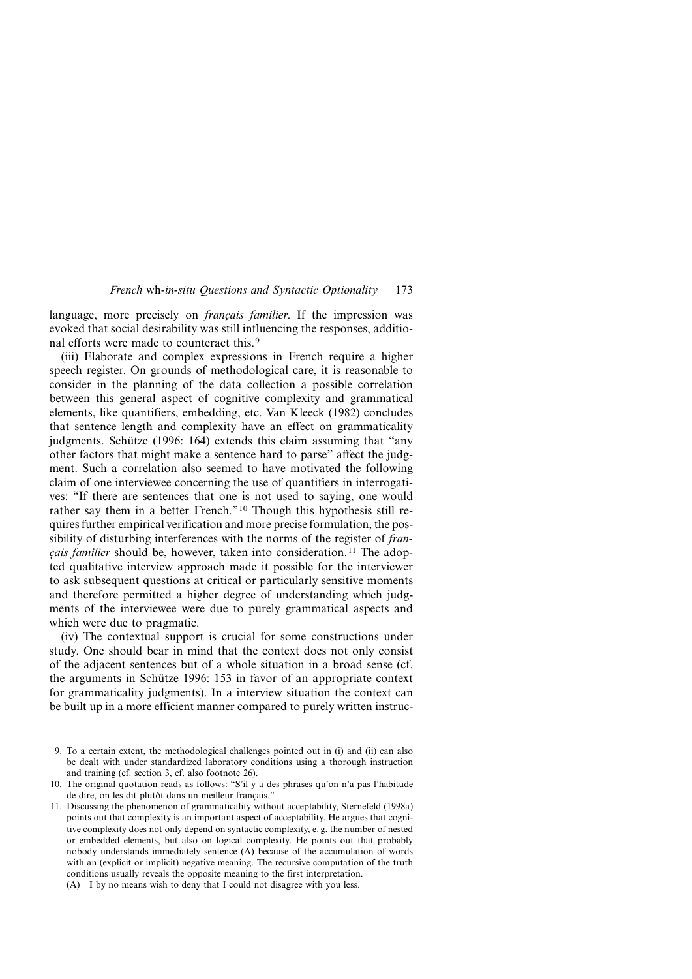language, more precisely on *français familier*. If the impression was evoked that social desirability was still influencing the responses, additional efforts were made to counteract this.9

(iii) Elaborate and complex expressions in French require a higher speech register. On grounds of methodological care, it is reasonable to consider in the planning of the data collection a possible correlation between this general aspect of cognitive complexity and grammatical elements, like quantifiers, embedding, etc. Van Kleeck (1982) concludes that sentence length and complexity have an effect on grammaticality judgments. Schütze (1996: 164) extends this claim assuming that "any other factors that might make a sentence hard to parse" affect the judgment. Such a correlation also seemed to have motivated the following claim of one interviewee concerning the use of quantifiers in interrogatives: "If there are sentences that one is not used to saying, one would rather say them in a better French."10 Though this hypothesis still requires further empirical verification and more precise formulation, the possibility of disturbing interferences with the norms of the register of *francais familier* should be, however, taken into consideration.<sup>11</sup> The adopted qualitative interview approach made it possible for the interviewer to ask subsequent questions at critical or particularly sensitive moments and therefore permitted a higher degree of understanding which judgments of the interviewee were due to purely grammatical aspects and which were due to pragmatic.

(iv) The contextual support is crucial for some constructions under study. One should bear in mind that the context does not only consist of the adjacent sentences but of a whole situation in a broad sense (cf. the arguments in Schütze 1996: 153 in favor of an appropriate context for grammaticality judgments). In a interview situation the context can be built up in a more efficient manner compared to purely written instruc-

<sup>9.</sup> To a certain extent, the methodological challenges pointed out in (i) and (ii) can also be dealt with under standardized laboratory conditions using a thorough instruction and training (cf. section 3, cf. also footnote 26).

<sup>10.</sup> The original quotation reads as follows: "S'il y a des phrases qu'on n'a pas l'habitude de dire, on les dit plutôt dans un meilleur français."

<sup>11.</sup> Discussing the phenomenon of grammaticality without acceptability, Sternefeld (1998a) points out that complexity is an important aspect of acceptability. He argues that cognitive complexity does not only depend on syntactic complexity, e. g. the number of nested or embedded elements, but also on logical complexity. He points out that probably nobody understands immediately sentence (A) because of the accumulation of words with an (explicit or implicit) negative meaning. The recursive computation of the truth conditions usually reveals the opposite meaning to the first interpretation.

<sup>(</sup>A) I by no means wish to deny that I could not disagree with you less.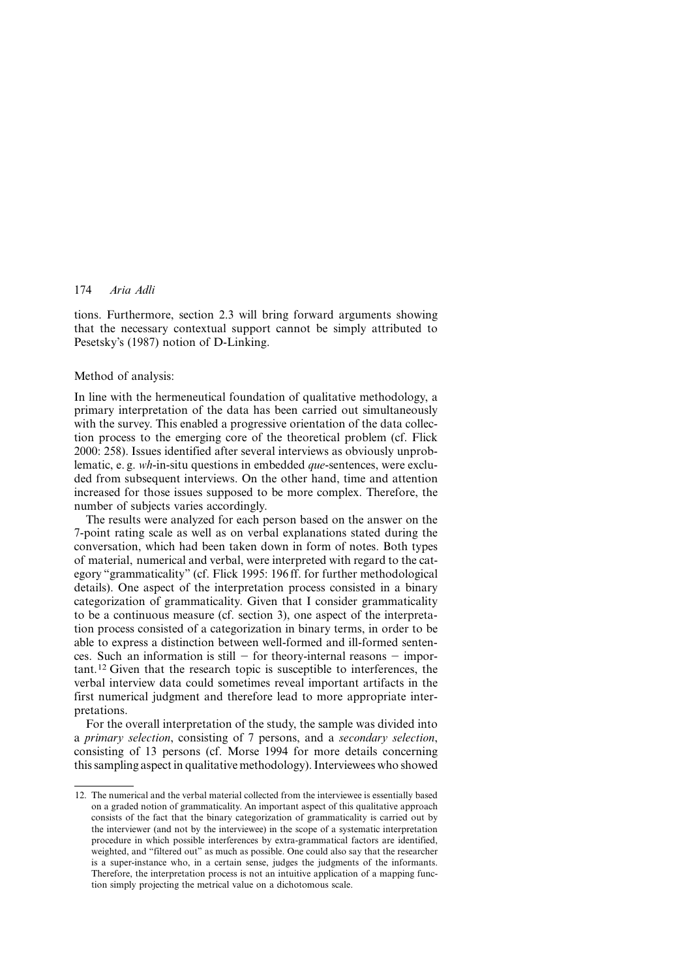tions. Furthermore, section 2.3 will bring forward arguments showing that the necessary contextual support cannot be simply attributed to Pesetsky's (1987) notion of D-Linking.

#### Method of analysis:

In line with the hermeneutical foundation of qualitative methodology, a primary interpretation of the data has been carried out simultaneously with the survey. This enabled a progressive orientation of the data collection process to the emerging core of the theoretical problem (cf. Flick 2000: 258). Issues identified after several interviews as obviously unproblematic, e. g. *wh*-in-situ questions in embedded *que*-sentences, were excluded from subsequent interviews. On the other hand, time and attention increased for those issues supposed to be more complex. Therefore, the number of subjects varies accordingly.

The results were analyzed for each person based on the answer on the 7-point rating scale as well as on verbal explanations stated during the conversation, which had been taken down in form of notes. Both types of material, numerical and verbal, were interpreted with regard to the category "grammaticality" (cf. Flick 1995: 196 ff. for further methodological details). One aspect of the interpretation process consisted in a binary categorization of grammaticality. Given that I consider grammaticality to be a continuous measure (cf. section 3), one aspect of the interpretation process consisted of a categorization in binary terms, in order to be able to express a distinction between well-formed and ill-formed senten- $\csc$  Such an information is still  $-$  for theory-internal reasons  $-$  important.12 Given that the research topic is susceptible to interferences, the verbal interview data could sometimes reveal important artifacts in the first numerical judgment and therefore lead to more appropriate interpretations.

For the overall interpretation of the study, the sample was divided into a *primary selection*, consisting of 7 persons, and a *secondary selection*, consisting of 13 persons (cf. Morse 1994 for more details concerning this sampling aspect in qualitative methodology). Interviewees who showed

<sup>12.</sup> The numerical and the verbal material collected from the interviewee is essentially based on a graded notion of grammaticality. An important aspect of this qualitative approach consists of the fact that the binary categorization of grammaticality is carried out by the interviewer (and not by the interviewee) in the scope of a systematic interpretation procedure in which possible interferences by extra-grammatical factors are identified, weighted, and "filtered out" as much as possible. One could also say that the researcher is a super-instance who, in a certain sense, judges the judgments of the informants. Therefore, the interpretation process is not an intuitive application of a mapping function simply projecting the metrical value on a dichotomous scale.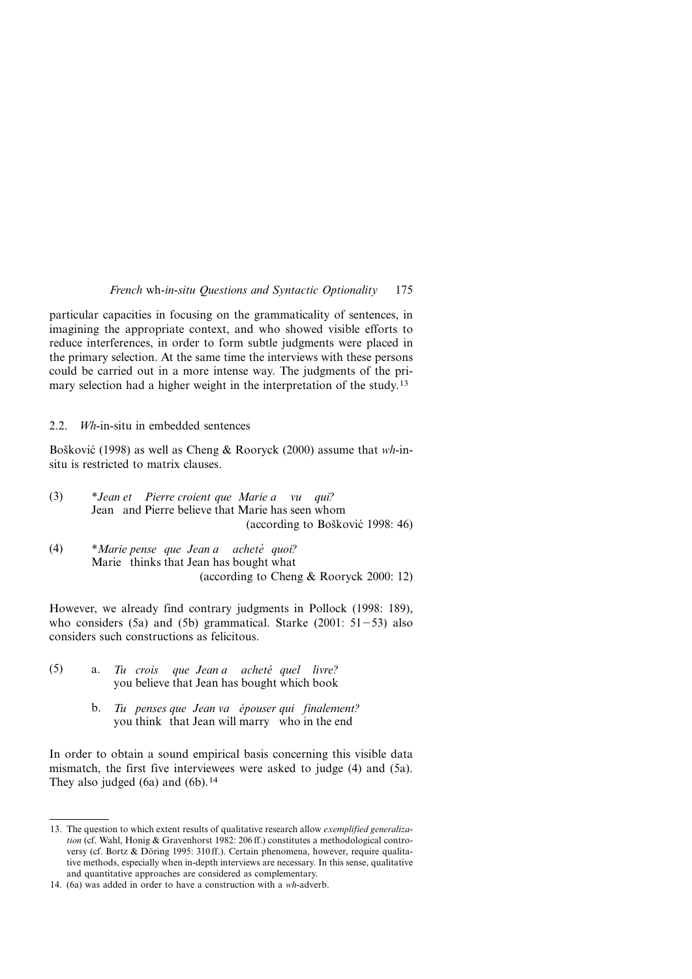particular capacities in focusing on the grammaticality of sentences, in imagining the appropriate context, and who showed visible efforts to reduce interferences, in order to form subtle judgments were placed in the primary selection. At the same time the interviews with these persons could be carried out in a more intense way. The judgments of the primary selection had a higher weight in the interpretation of the study.13

2.2. *Wh*-in-situ in embedded sentences

Bošković (1998) as well as Cheng & Rooryck (2000) assume that *wh*-insitu is restricted to matrix clauses.

- (3) *\*Jean et Pierre croient que Marie a vu qui?* Jean and Pierre believe that Marie has seen whom (according to Bošković 1998: 46)
- (4) *\*Marie pense que Jean a achete´ quoi?* Marie thinks that Jean has bought what (according to Cheng & Rooryck 2000: 12)

However, we already find contrary judgments in Pollock (1998: 189), who considers (5a) and (5b) grammatical. Starke (2001: 51-53) also considers such constructions as felicitous.

- (5) a. *Tu crois que Jean a achete´ quel livre?* you believe that Jean has bought which book
	- b. *Tu penses que Jean va e´pouser qui finalement?* you think that Jean will marry who in the end

In order to obtain a sound empirical basis concerning this visible data mismatch, the first five interviewees were asked to judge (4) and (5a). They also judged (6a) and (6b).<sup>14</sup>

<sup>13.</sup> The question to which extent results of qualitative research allow *exemplified generalization* (cf. Wahl, Honig & Gravenhorst 1982: 206 ff.) constitutes a methodological controversy (cf. Bortz & Döring 1995: 310 ff.). Certain phenomena, however, require qualitative methods, especially when in-depth interviews are necessary. In this sense, qualitative and quantitative approaches are considered as complementary.

<sup>14. (6</sup>a) was added in order to have a construction with a *wh*-adverb.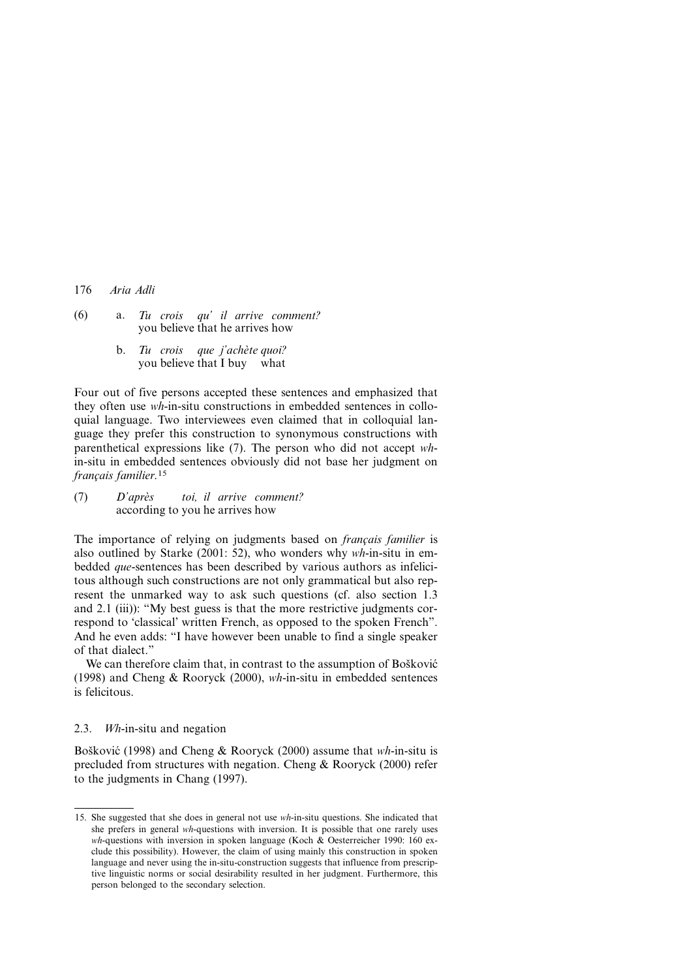- (6) a. *Tu* you believe that he arrives how *crois qu' il arrive comment?*
	- b. *Tu* crois que j'achète quoi? you believe that I buy what

Four out of five persons accepted these sentences and emphasized that they often use *wh*-in-situ constructions in embedded sentences in colloquial language. Two interviewees even claimed that in colloquial language they prefer this construction to synonymous constructions with parenthetical expressions like (7). The person who did not accept *wh*in-situ in embedded sentences obviously did not base her judgment on *français familier*.<sup>15</sup>

(7) *D'apre`s* according to you he arrives how *toi, il arrive comment?*

The importance of relying on judgments based on *français familier* is also outlined by Starke (2001: 52), who wonders why *wh*-in-situ in embedded *que*-sentences has been described by various authors as infelicitous although such constructions are not only grammatical but also represent the unmarked way to ask such questions (cf. also section 1.3 and 2.1 (iii)): "My best guess is that the more restrictive judgments correspond to 'classical' written French, as opposed to the spoken French". And he even adds: "I have however been unable to find a single speaker of that dialect."

We can therefore claim that, in contrast to the assumption of Bošković (1998) and Cheng & Rooryck (2000), *wh*-in-situ in embedded sentences is felicitous.

#### 2.3. *Wh*-in-situ and negation

Bošković (1998) and Cheng & Rooryck (2000) assume that *wh*-in-situ is precluded from structures with negation. Cheng & Rooryck (2000) refer to the judgments in Chang (1997).

<sup>15.</sup> She suggested that she does in general not use *wh*-in-situ questions. She indicated that she prefers in general *wh*-questions with inversion. It is possible that one rarely uses *wh*-questions with inversion in spoken language (Koch & Oesterreicher 1990: 160 exclude this possibility). However, the claim of using mainly this construction in spoken language and never using the in-situ-construction suggests that influence from prescriptive linguistic norms or social desirability resulted in her judgment. Furthermore, this person belonged to the secondary selection.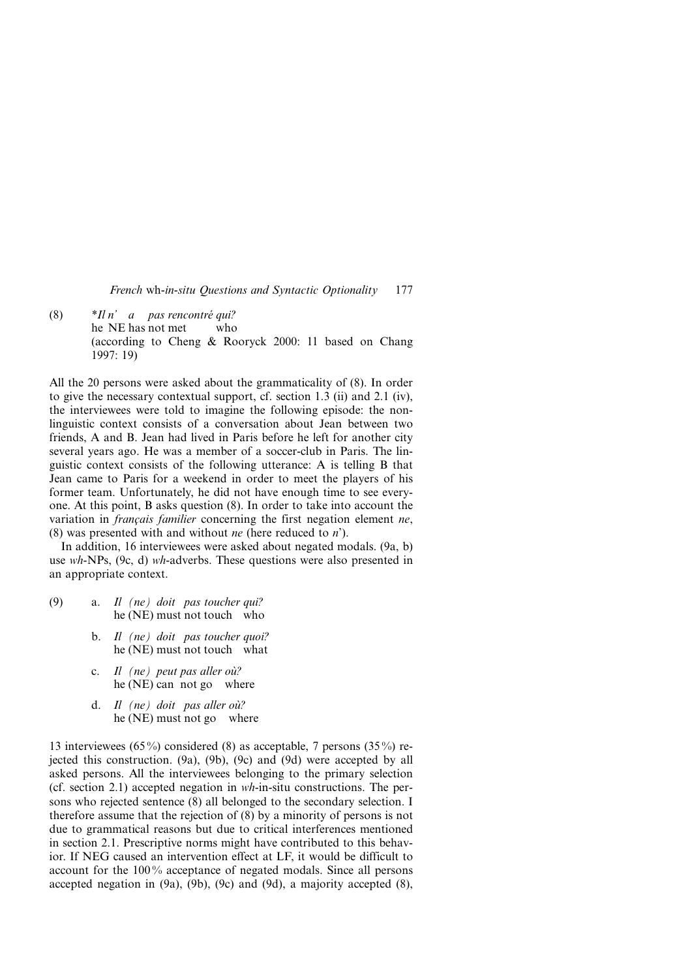(8) *\*Il* he NE has not met *n' a pas rencontre´ qui?* who (according to Cheng & Rooryck 2000: 11 based on Chang 1997: 19)

All the 20 persons were asked about the grammaticality of (8). In order to give the necessary contextual support, cf. section 1.3 (ii) and 2.1 (iv), the interviewees were told to imagine the following episode: the nonlinguistic context consists of a conversation about Jean between two friends, A and B. Jean had lived in Paris before he left for another city several years ago. He was a member of a soccer-club in Paris. The linguistic context consists of the following utterance: A is telling B that Jean came to Paris for a weekend in order to meet the players of his former team. Unfortunately, he did not have enough time to see everyone. At this point, B asks question (8). In order to take into account the variation in *francais familier* concerning the first negation element *ne*, (8) was presented with and without *ne* (here reduced to *n*').

In addition, 16 interviewees were asked about negated modals. (9a, b) use *wh*-NPs, (9c, d) *wh*-adverbs. These questions were also presented in an appropriate context.

- (9) a. *Il* he (NE) must not touch who *(ne) doit pas toucher qui?*
	- b. *Il (ne) doit pas toucher quoi?* he (NE) must not touch what
	- c. *Il* he (NE) can not go where *(ne) peut pas aller ou`?*
	- d. *Il (ne) doit pas aller ou`?* he (NE) must not go where

13 interviewees (65 %) considered (8) as acceptable, 7 persons (35 %) rejected this construction. (9a), (9b), (9c) and (9d) were accepted by all asked persons. All the interviewees belonging to the primary selection (cf. section 2.1) accepted negation in *wh*-in-situ constructions. The persons who rejected sentence (8) all belonged to the secondary selection. I therefore assume that the rejection of (8) by a minority of persons is not due to grammatical reasons but due to critical interferences mentioned in section 2.1. Prescriptive norms might have contributed to this behavior. If NEG caused an intervention effect at LF, it would be difficult to account for the 100 % acceptance of negated modals. Since all persons accepted negation in (9a), (9b), (9c) and (9d), a majority accepted (8),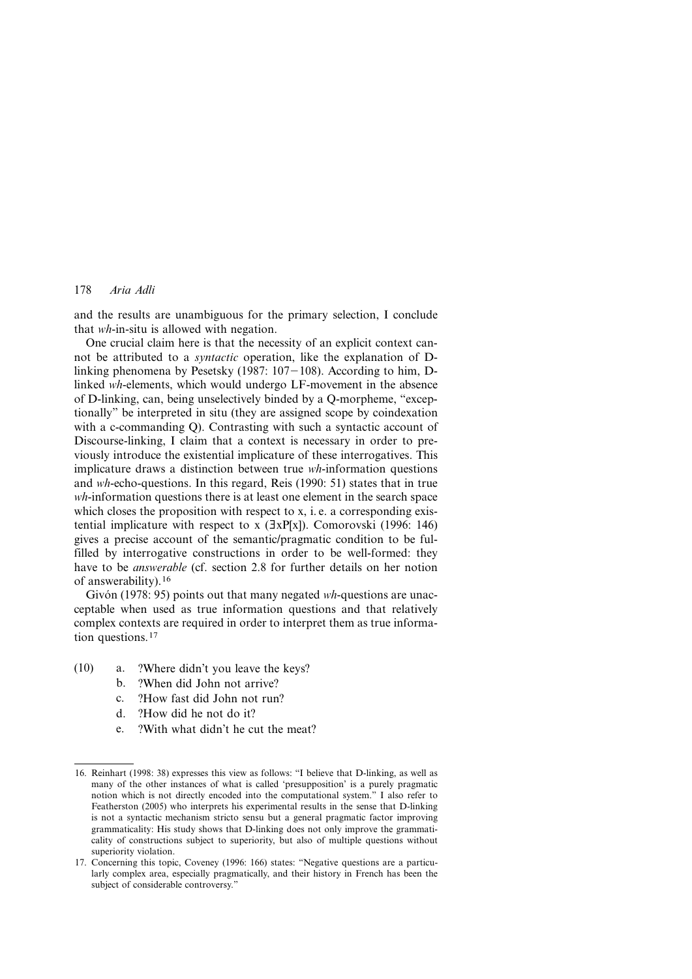and the results are unambiguous for the primary selection, I conclude that *wh*-in-situ is allowed with negation.

One crucial claim here is that the necessity of an explicit context cannot be attributed to a *syntactic* operation, like the explanation of Dlinking phenomena by Pesetsky (1987: 107–108). According to him, Dlinked *wh*-elements, which would undergo LF-movement in the absence of D-linking, can, being unselectively binded by a Q-morpheme, "exceptionally" be interpreted in situ (they are assigned scope by coindexation with a c-commanding O). Contrasting with such a syntactic account of Discourse-linking, I claim that a context is necessary in order to previously introduce the existential implicature of these interrogatives. This implicature draws a distinction between true *wh*-information questions and *wh*-echo-questions. In this regard, Reis (1990: 51) states that in true *wh*-information questions there is at least one element in the search space which closes the proposition with respect to x, i.e. a corresponding existential implicature with respect to x  $(\exists x P[x])$ . Comorovski (1996: 146) gives a precise account of the semantic/pragmatic condition to be fulfilled by interrogative constructions in order to be well-formed: they have to be *answerable* (cf. section 2.8 for further details on her notion of answerability).16

Givón (1978: 95) points out that many negated *wh*-questions are unacceptable when used as true information questions and that relatively complex contexts are required in order to interpret them as true information questions.<sup>17</sup>

- (10) a. ?Where didn't you leave the keys?
	- b. ?When did John not arrive?
	- c. ?How fast did John not run?
	- d. ?How did he not do it?
	- e. ?With what didn't he cut the meat?

<sup>16.</sup> Reinhart (1998: 38) expresses this view as follows: "I believe that D-linking, as well as many of the other instances of what is called 'presupposition' is a purely pragmatic notion which is not directly encoded into the computational system." I also refer to Featherston (2005) who interprets his experimental results in the sense that D-linking is not a syntactic mechanism stricto sensu but a general pragmatic factor improving grammaticality: His study shows that D-linking does not only improve the grammaticality of constructions subject to superiority, but also of multiple questions without superiority violation.

<sup>17.</sup> Concerning this topic, Coveney (1996: 166) states: "Negative questions are a particularly complex area, especially pragmatically, and their history in French has been the subject of considerable controversy."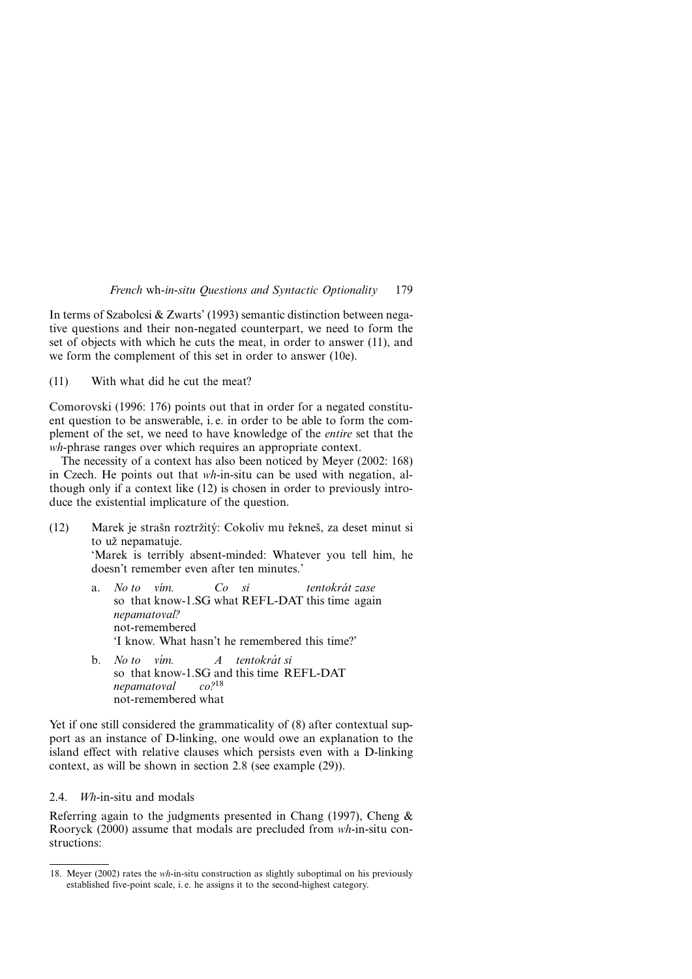In terms of Szabolcsi & Zwarts' (1993) semantic distinction between negative questions and their non-negated counterpart, we need to form the set of objects with which he cuts the meat, in order to answer (11), and we form the complement of this set in order to answer (10e).

(11) With what did he cut the meat?

Comorovski (1996: 176) points out that in order for a negated constituent question to be answerable, i. e. in order to be able to form the complement of the set, we need to have knowledge of the *entire* set that the *wh*-phrase ranges over which requires an appropriate context.

The necessity of a context has also been noticed by Meyer (2002: 168) in Czech. He points out that *wh*-in-situ can be used with negation, although only if a context like (12) is chosen in order to previously introduce the existential implicature of the question.

- (12) Marek je strašn roztržitý: Cokoliv mu řekneš, za deset minut si to už nepamatuje. 'Marek is terribly absent-minded: Whatever you tell him, he doesn't remember even after ten minutes.'
	- a. *No* to vim. so that know-1.SG what REFL-DAT this time again *Co si tentokra´t zase nepamatoval?* not-remembered 'I know. What hasn't he remembered this time?'
	- **b**. *No* to *vim.* so that know-1.SG and this time REFL-DAT *A tentokra´t si nepamatoval* not-remembered what *co?*<sup>18</sup>

Yet if one still considered the grammaticality of (8) after contextual support as an instance of D-linking, one would owe an explanation to the island effect with relative clauses which persists even with a D-linking context, as will be shown in section 2.8 (see example (29)).

# 2.4. *Wh*-in-situ and modals

Referring again to the judgments presented in Chang (1997), Cheng & Rooryck (2000) assume that modals are precluded from *wh*-in-situ constructions:

<sup>18.</sup> Meyer (2002) rates the *wh*-in-situ construction as slightly suboptimal on his previously established five-point scale, i. e. he assigns it to the second-highest category.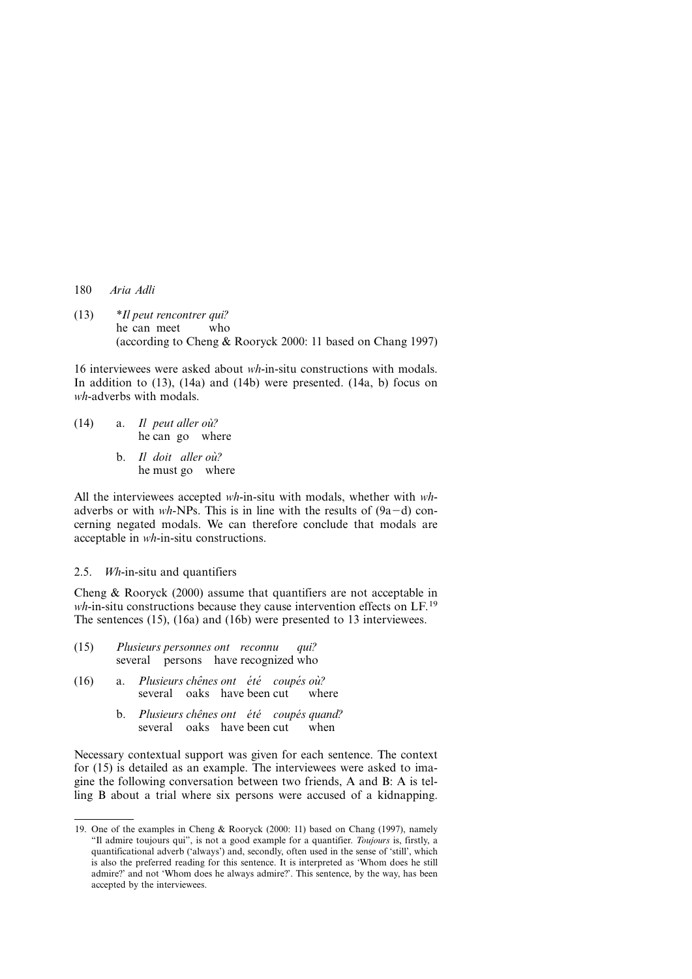$(13)$ he can meet *peut rencontrer qui?* who (according to Cheng & Rooryck 2000: 11 based on Chang 1997)

16 interviewees were asked about *wh*-in-situ constructions with modals. In addition to (13), (14a) and (14b) were presented. (14a, b) focus on *wh*-adverbs with modals.

- (14) a. *Il peut aller ou`?* he can go where
	- b. *Il doit aller ou`?* he must go where

All the interviewees accepted *wh*-in-situ with modals, whether with *wh*adverbs or with  $wh$ -NPs. This is in line with the results of  $(9a-d)$  concerning negated modals. We can therefore conclude that modals are acceptable in *wh*-in-situ constructions.

# 2.5. *Wh*-in-situ and quantifiers

Cheng & Rooryck (2000) assume that quantifiers are not acceptable in *wh*-in-situ constructions because they cause intervention effects on LF.19 The sentences (15), (16a) and (16b) were presented to 13 interviewees.

- (15) *Plusieurs personnes ont reconnu* several persons have recognized who *qui?*
- (16) a. *Plusieurs chênes ont été coupés où?* several oaks have been cut where
	- **b**. Plusieurs chênes ont été coupés quand? several oaks have been cut when

Necessary contextual support was given for each sentence. The context for (15) is detailed as an example. The interviewees were asked to imagine the following conversation between two friends, A and B: A is telling B about a trial where six persons were accused of a kidnapping.

<sup>19.</sup> One of the examples in Cheng & Rooryck (2000: 11) based on Chang (1997), namely "Il admire toujours qui", is not a good example for a quantifier. *Toujours* is, firstly, a quantificational adverb ('always') and, secondly, often used in the sense of 'still', which is also the preferred reading for this sentence. It is interpreted as 'Whom does he still admire?' and not 'Whom does he always admire?'. This sentence, by the way, has been accepted by the interviewees.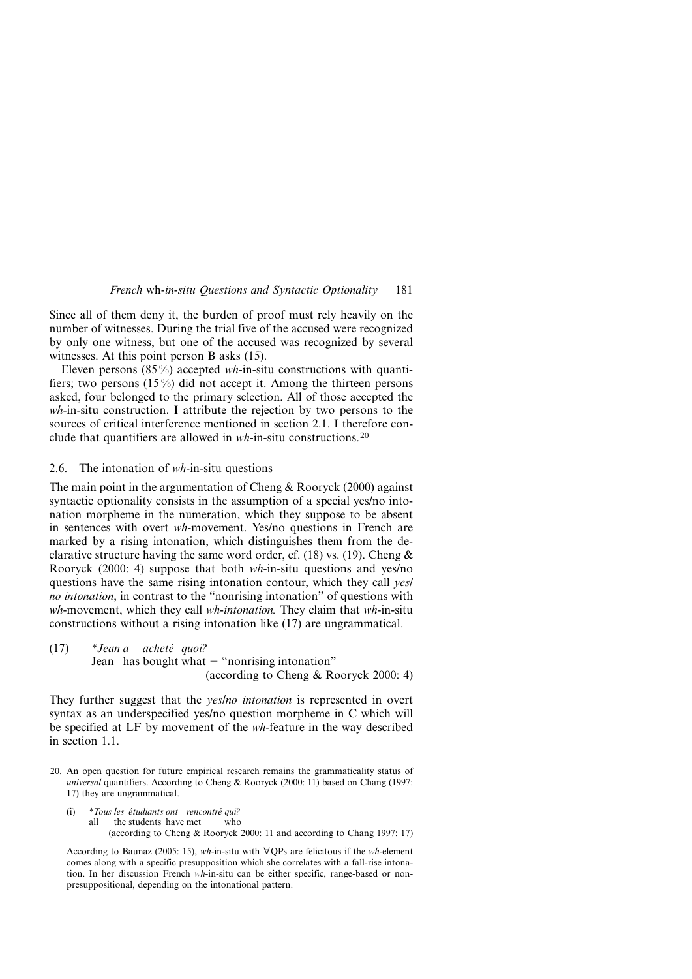Since all of them deny it, the burden of proof must rely heavily on the number of witnesses. During the trial five of the accused were recognized by only one witness, but one of the accused was recognized by several witnesses. At this point person B asks (15).

Eleven persons (85 %) accepted *wh*-in-situ constructions with quantifiers; two persons  $(15\%)$  did not accept it. Among the thirteen persons asked, four belonged to the primary selection. All of those accepted the *wh*-in-situ construction. I attribute the rejection by two persons to the sources of critical interference mentioned in section 2.1. I therefore conclude that quantifiers are allowed in *wh*-in-situ constructions.20

# 2.6. The intonation of *wh*-in-situ questions

The main point in the argumentation of Cheng & Rooryck (2000) against syntactic optionality consists in the assumption of a special yes/no intonation morpheme in the numeration, which they suppose to be absent in sentences with overt *wh*-movement. Yes/no questions in French are marked by a rising intonation, which distinguishes them from the declarative structure having the same word order, cf. (18) vs. (19). Cheng & Rooryck (2000: 4) suppose that both *wh*-in-situ questions and yes/no questions have the same rising intonation contour, which they call *yes/ no intonation*, in contrast to the "nonrising intonation" of questions with *wh*-movement, which they call *wh-intonation.* They claim that *wh*-in-situ constructions without a rising intonation like (17) are ungrammatical.

#### (17) *\*Jean a achete´ quoi?*

Jean has bought what – "nonrising intonation" (according to Cheng & Rooryck 2000: 4)

They further suggest that the *yes/no intonation* is represented in overt syntax as an underspecified yes/no question morpheme in C which will be specified at LF by movement of the *wh*-feature in the way described in section 1.1.

(i) *\*Tous les e´tudiants ont rencontre´ qui?* all the students have met who

(according to Cheng & Rooryck 2000: 11 and according to Chang 1997: 17)

According to Baunaz (2005: 15), *wh*-in-situ with ∀QPs are felicitous if the *wh*-element comes along with a specific presupposition which she correlates with a fall-rise intonation. In her discussion French *wh*-in-situ can be either specific, range-based or nonpresuppositional, depending on the intonational pattern.

<sup>20.</sup> An open question for future empirical research remains the grammaticality status of *universal* quantifiers. According to Cheng & Rooryck (2000: 11) based on Chang (1997: 17) they are ungrammatical.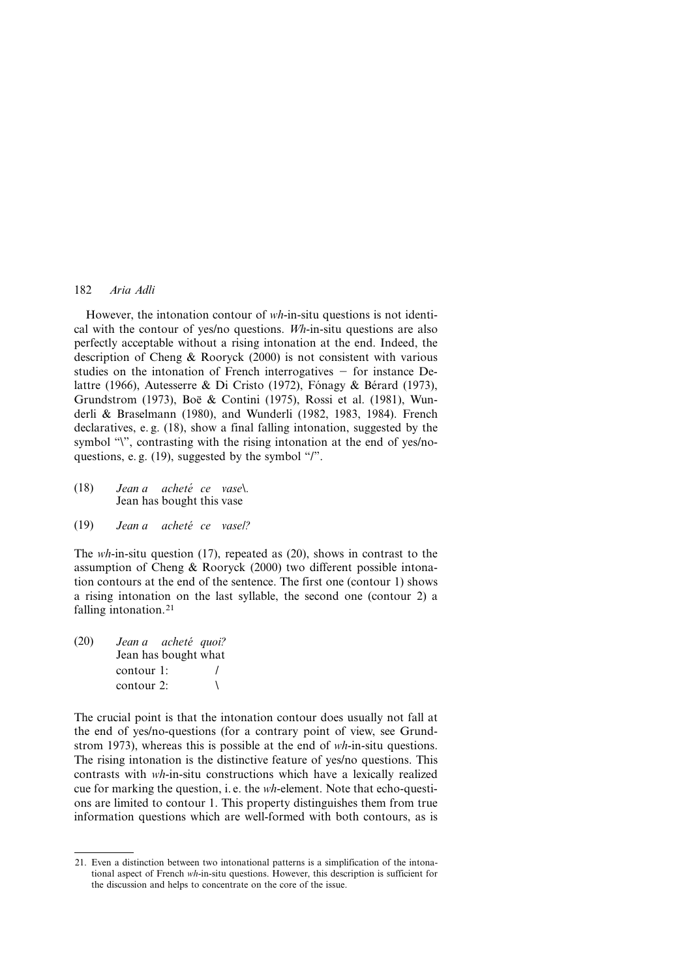However, the intonation contour of *wh*-in-situ questions is not identical with the contour of yes/no questions. *Wh*-in-situ questions are also perfectly acceptable without a rising intonation at the end. Indeed, the description of Cheng & Rooryck (2000) is not consistent with various studies on the intonation of French interrogatives – for instance Delattre (1966), Autesserre & Di Cristo (1972), Fónagy & Bérard (1973), Grundstrom (1973), Boë & Contini (1975), Rossi et al. (1981), Wunderli & Braselmann (1980), and Wunderli (1982, 1983, 1984). French declaratives, e. g. (18), show a final falling intonation, suggested by the symbol "\", contrasting with the rising intonation at the end of yes/noquestions, e. g. (19), suggested by the symbol "/".

- $(18)$  *Jean a acheté ce vase* $\lambda$ . Jean has bought this vase
- (19) *Jean a achete´ ce vase/?*

The *wh*-in-situ question (17), repeated as (20), shows in contrast to the assumption of Cheng & Rooryck (2000) two different possible intonation contours at the end of the sentence. The first one (contour 1) shows a rising intonation on the last syllable, the second one (contour 2) a falling intonation.<sup>21</sup>

| (20) | Jean a acheté quoi?<br>Jean has bought what |  |  |  |
|------|---------------------------------------------|--|--|--|
|      | contour $1$ :                               |  |  |  |
|      | contour $2$ :                               |  |  |  |

The crucial point is that the intonation contour does usually not fall at the end of yes/no-questions (for a contrary point of view, see Grundstrom 1973), whereas this is possible at the end of *wh*-in-situ questions. The rising intonation is the distinctive feature of yes/no questions. This contrasts with *wh*-in-situ constructions which have a lexically realized cue for marking the question, i. e. the *wh*-element. Note that echo-questions are limited to contour 1. This property distinguishes them from true information questions which are well-formed with both contours, as is

<sup>21.</sup> Even a distinction between two intonational patterns is a simplification of the intonational aspect of French *wh*-in-situ questions. However, this description is sufficient for the discussion and helps to concentrate on the core of the issue.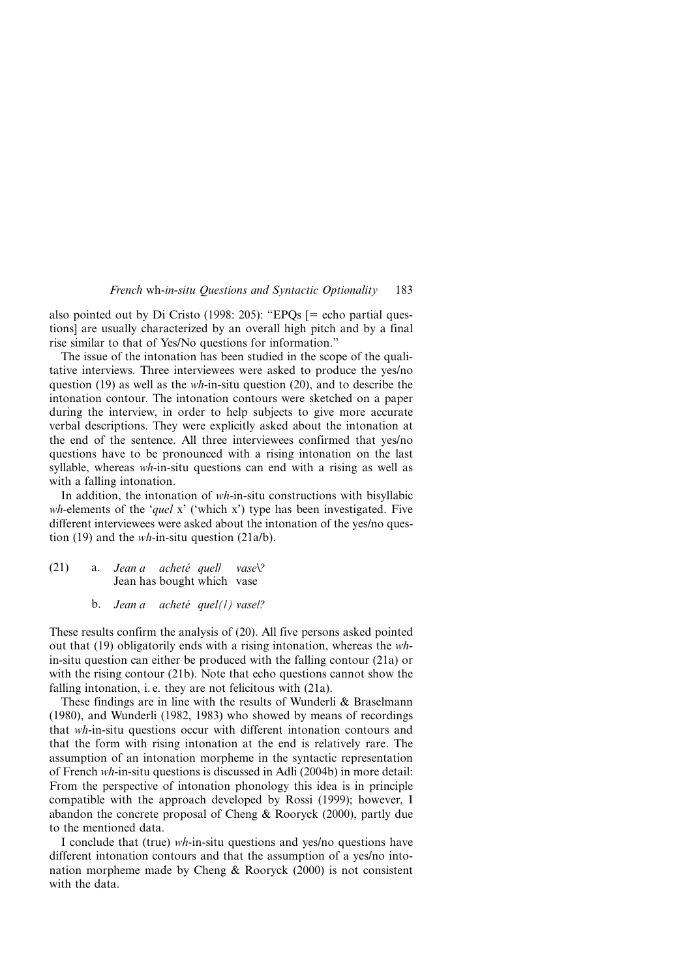also pointed out by Di Cristo (1998: 205): "EPQs  $[=$  echo partial questions] are usually characterized by an overall high pitch and by a final rise similar to that of Yes/No questions for information."

The issue of the intonation has been studied in the scope of the qualitative interviews. Three interviewees were asked to produce the yes/no question (19) as well as the *wh*-in-situ question (20), and to describe the intonation contour. The intonation contours were sketched on a paper during the interview, in order to help subjects to give more accurate verbal descriptions. They were explicitly asked about the intonation at the end of the sentence. All three interviewees confirmed that yes/no questions have to be pronounced with a rising intonation on the last syllable, whereas *wh*-in-situ questions can end with a rising as well as with a falling intonation.

In addition, the intonation of *wh*-in-situ constructions with bisyllabic *wh*-elements of the '*quel* x' ('which x') type has been investigated. Five different interviewees were asked about the intonation of the yes/no question (19) and the *wh*-in-situ question (21a/b).

- (21) a. *Jean a achete´ quel/* Jean has bought which vase *vase\?*
	- b. *Jean a achete´ quel(/) vase/?*

These results confirm the analysis of (20). All five persons asked pointed out that (19) obligatorily ends with a rising intonation, whereas the *wh*in-situ question can either be produced with the falling contour (21a) or with the rising contour (21b). Note that echo questions cannot show the falling intonation, i. e. they are not felicitous with (21a).

These findings are in line with the results of Wunderli & Braselmann (1980), and Wunderli (1982, 1983) who showed by means of recordings that *wh*-in-situ questions occur with different intonation contours and that the form with rising intonation at the end is relatively rare. The assumption of an intonation morpheme in the syntactic representation of French *wh*-in-situ questions is discussed in Adli (2004b) in more detail: From the perspective of intonation phonology this idea is in principle compatible with the approach developed by Rossi (1999); however, I abandon the concrete proposal of Cheng & Rooryck (2000), partly due to the mentioned data.

I conclude that (true) *wh*-in-situ questions and yes/no questions have different intonation contours and that the assumption of a yes/no intonation morpheme made by Cheng & Rooryck (2000) is not consistent with the data.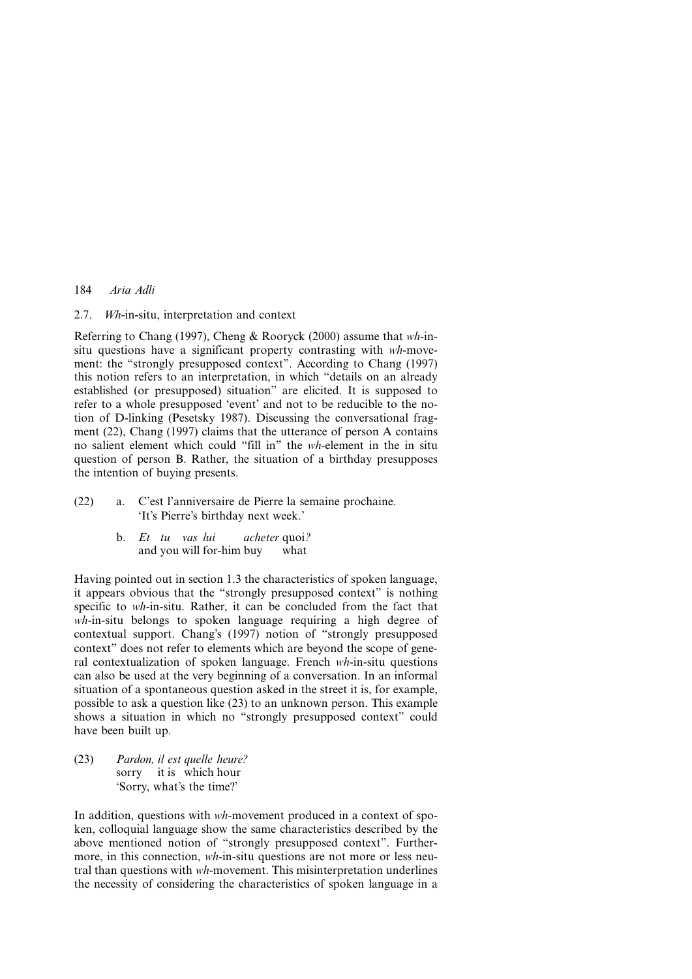2.7. *Wh*-in-situ, interpretation and context

Referring to Chang (1997), Cheng & Rooryck (2000) assume that *wh*-insitu questions have a significant property contrasting with *wh*-movement: the "strongly presupposed context". According to Chang (1997) this notion refers to an interpretation, in which "details on an already established (or presupposed) situation" are elicited. It is supposed to refer to a whole presupposed 'event' and not to be reducible to the notion of D-linking (Pesetsky 1987). Discussing the conversational fragment (22), Chang (1997) claims that the utterance of person A contains no salient element which could "fill in" the *wh*-element in the in situ question of person B. Rather, the situation of a birthday presupposes the intention of buying presents.

- (22) a. C'est l'anniversaire de Pierre la semaine prochaine. 'It's Pierre's birthday next week.'
	- b. *Et tu vas lui* and you will for-him buy *acheter* quoi*?* what

Having pointed out in section 1.3 the characteristics of spoken language, it appears obvious that the "strongly presupposed context" is nothing specific to *wh*-in-situ. Rather, it can be concluded from the fact that *wh*-in-situ belongs to spoken language requiring a high degree of contextual support. Chang's (1997) notion of "strongly presupposed context" does not refer to elements which are beyond the scope of general contextualization of spoken language. French *wh*-in-situ questions can also be used at the very beginning of a conversation. In an informal situation of a spontaneous question asked in the street it is, for example, possible to ask a question like (23) to an unknown person. This example shows a situation in which no "strongly presupposed context" could have been built up.

(23) *Pardon, il est quelle heure?* sorry it is which hour 'Sorry, what's the time?'

In addition, questions with *wh*-movement produced in a context of spoken, colloquial language show the same characteristics described by the above mentioned notion of "strongly presupposed context". Furthermore, in this connection, *wh*-in-situ questions are not more or less neutral than questions with *wh*-movement. This misinterpretation underlines the necessity of considering the characteristics of spoken language in a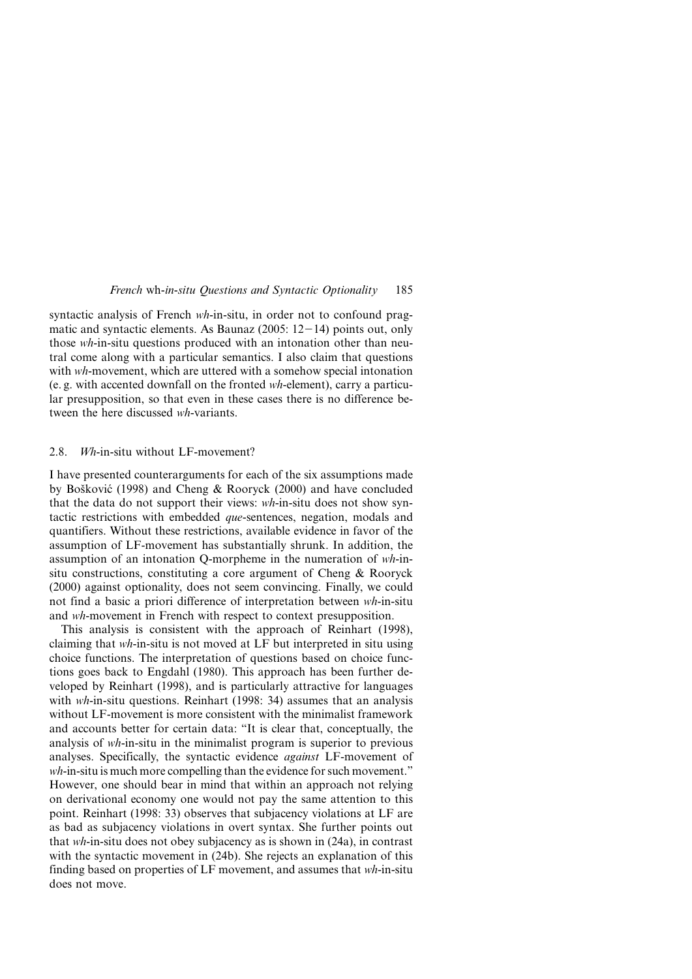syntactic analysis of French *wh*-in-situ, in order not to confound pragmatic and syntactic elements. As Baunaz (2005: 12–14) points out, only those *wh*-in-situ questions produced with an intonation other than neutral come along with a particular semantics. I also claim that questions with *wh*-movement, which are uttered with a somehow special intonation (e. g. with accented downfall on the fronted *wh*-element), carry a particular presupposition, so that even in these cases there is no difference between the here discussed *wh*-variants.

# 2.8. *Wh*-in-situ without LF-movement?

I have presented counterarguments for each of the six assumptions made by Bošković (1998) and Cheng & Rooryck (2000) and have concluded that the data do not support their views: *wh*-in-situ does not show syntactic restrictions with embedded *que-*sentences, negation, modals and quantifiers. Without these restrictions, available evidence in favor of the assumption of LF-movement has substantially shrunk. In addition, the assumption of an intonation Q-morpheme in the numeration of *wh*-insitu constructions, constituting a core argument of Cheng & Rooryck (2000) against optionality, does not seem convincing. Finally, we could not find a basic a priori difference of interpretation between *wh*-in-situ and *wh*-movement in French with respect to context presupposition.

This analysis is consistent with the approach of Reinhart (1998), claiming that *wh*-in-situ is not moved at LF but interpreted in situ using choice functions. The interpretation of questions based on choice functions goes back to Engdahl (1980). This approach has been further developed by Reinhart (1998), and is particularly attractive for languages with *wh*-in-situ questions. Reinhart (1998: 34) assumes that an analysis without LF-movement is more consistent with the minimalist framework and accounts better for certain data: "It is clear that, conceptually, the analysis of *wh*-in-situ in the minimalist program is superior to previous analyses. Specifically, the syntactic evidence *against* LF-movement of *wh*-in-situ is much more compelling than the evidence for such movement." However, one should bear in mind that within an approach not relying on derivational economy one would not pay the same attention to this point. Reinhart (1998: 33) observes that subjacency violations at LF are as bad as subjacency violations in overt syntax. She further points out that *wh*-in-situ does not obey subjacency as is shown in (24a), in contrast with the syntactic movement in (24b). She rejects an explanation of this finding based on properties of LF movement, and assumes that *wh*-in-situ does not move.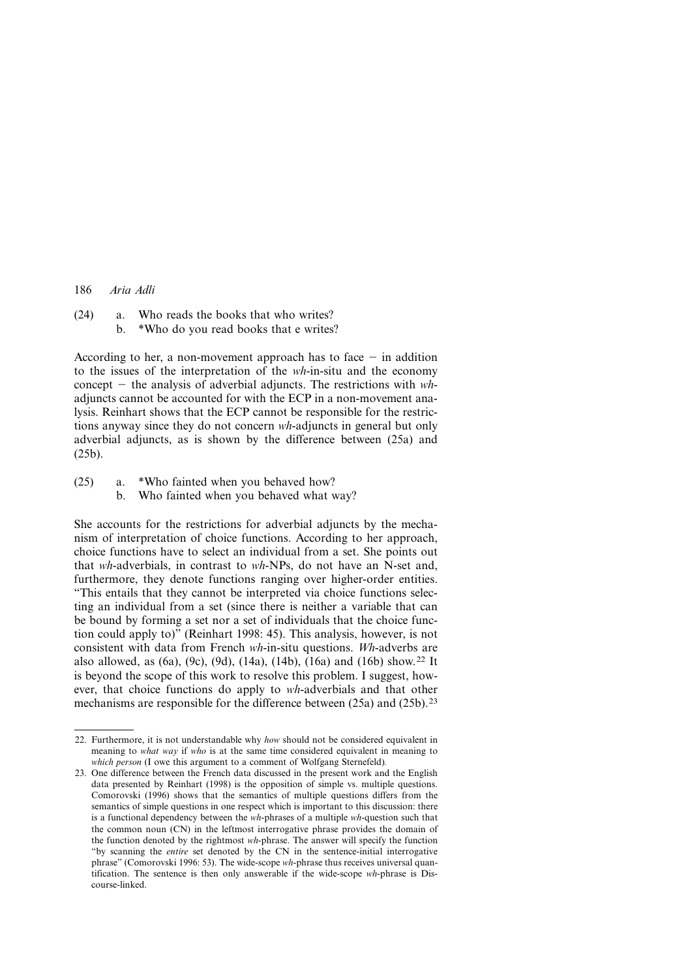(24) a. Who reads the books that who writes? b. \*Who do you read books that e writes?

According to her, a non-movement approach has to face  $-$  in addition to the issues of the interpretation of the *wh*-in-situ and the economy concept - the analysis of adverbial adjuncts. The restrictions with *wh*adjuncts cannot be accounted for with the ECP in a non-movement analysis. Reinhart shows that the ECP cannot be responsible for the restrictions anyway since they do not concern *wh*-adjuncts in general but only adverbial adjuncts, as is shown by the difference between (25a) and (25b).

(25) a. \*Who fainted when you behaved how? b. Who fainted when you behaved what way?

She accounts for the restrictions for adverbial adjuncts by the mechanism of interpretation of choice functions. According to her approach, choice functions have to select an individual from a set. She points out that *wh*-adverbials, in contrast to *wh*-NPs, do not have an N-set and, furthermore, they denote functions ranging over higher-order entities. "This entails that they cannot be interpreted via choice functions selecting an individual from a set (since there is neither a variable that can be bound by forming a set nor a set of individuals that the choice function could apply to)" (Reinhart 1998: 45). This analysis, however, is not consistent with data from French *wh*-in-situ questions. *Wh*-adverbs are also allowed, as  $(6a)$ ,  $(9c)$ ,  $(9d)$ ,  $(14a)$ ,  $(14b)$ ,  $(16a)$  and  $(16b)$  show.<sup>22</sup> It is beyond the scope of this work to resolve this problem. I suggest, however, that choice functions do apply to *wh*-adverbials and that other mechanisms are responsible for the difference between (25a) and (25b).23

<sup>22.</sup> Furthermore, it is not understandable why *how* should not be considered equivalent in meaning to *what way* if *who* is at the same time considered equivalent in meaning to *which person* (I owe this argument to a comment of Wolfgang Sternefeld)*.*

<sup>23.</sup> One difference between the French data discussed in the present work and the English data presented by Reinhart (1998) is the opposition of simple vs. multiple questions. Comorovski (1996) shows that the semantics of multiple questions differs from the semantics of simple questions in one respect which is important to this discussion: there is a functional dependency between the *wh*-phrases of a multiple *wh*-question such that the common noun (CN) in the leftmost interrogative phrase provides the domain of the function denoted by the rightmost *wh*-phrase. The answer will specify the function "by scanning the *entire* set denoted by the CN in the sentence-initial interrogative phrase" (Comorovski 1996: 53). The wide-scope *wh*-phrase thus receives universal quantification. The sentence is then only answerable if the wide-scope *wh*-phrase is Discourse-linked.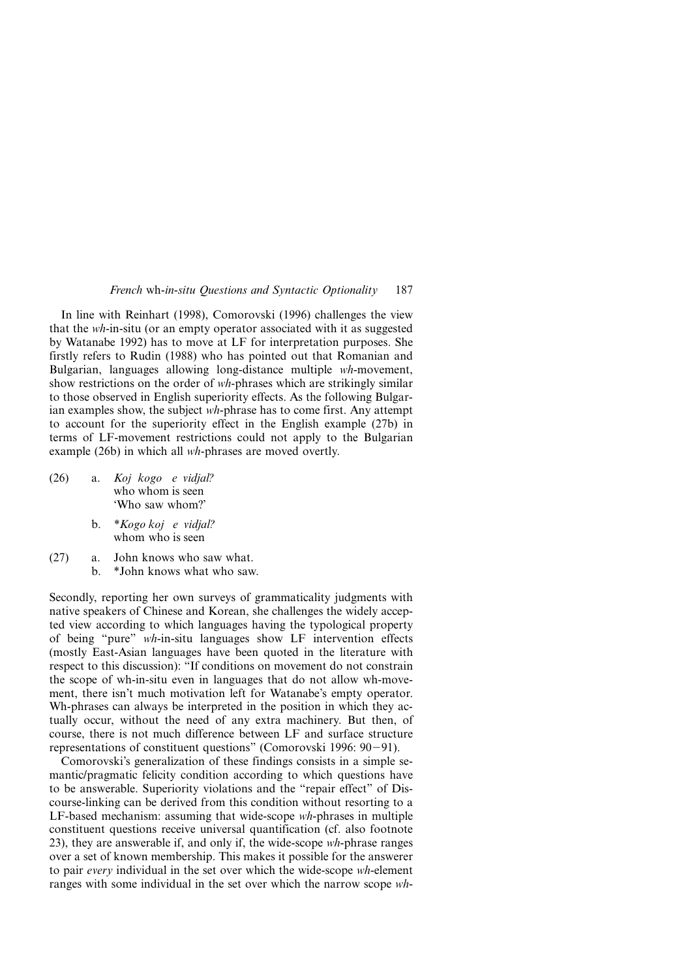In line with Reinhart (1998), Comorovski (1996) challenges the view that the *wh*-in-situ (or an empty operator associated with it as suggested by Watanabe 1992) has to move at LF for interpretation purposes. She firstly refers to Rudin (1988) who has pointed out that Romanian and Bulgarian, languages allowing long-distance multiple *wh*-movement, show restrictions on the order of *wh*-phrases which are strikingly similar to those observed in English superiority effects. As the following Bulgarian examples show, the subject *wh*-phrase has to come first. Any attempt to account for the superiority effect in the English example (27b) in terms of LF-movement restrictions could not apply to the Bulgarian example (26b) in which all *wh*-phrases are moved overtly.

- $(26)$  a. who whom is seen *kogo e vidjal?* 'Who saw whom?'
	- b. *\*Kogo koj e vidjal?* whom who is seen
- (27) a. John knows who saw what.
	- b. \*John knows what who saw.

Secondly, reporting her own surveys of grammaticality judgments with native speakers of Chinese and Korean, she challenges the widely accepted view according to which languages having the typological property of being "pure" *wh*-in-situ languages show LF intervention effects (mostly East-Asian languages have been quoted in the literature with respect to this discussion): "If conditions on movement do not constrain the scope of wh-in-situ even in languages that do not allow wh-movement, there isn't much motivation left for Watanabe's empty operator. Wh-phrases can always be interpreted in the position in which they actually occur, without the need of any extra machinery. But then, of course, there is not much difference between LF and surface structure representations of constituent questions" (Comorovski 1996: 90-91).

Comorovski's generalization of these findings consists in a simple semantic/pragmatic felicity condition according to which questions have to be answerable. Superiority violations and the "repair effect" of Discourse-linking can be derived from this condition without resorting to a LF-based mechanism: assuming that wide-scope *wh*-phrases in multiple constituent questions receive universal quantification (cf. also footnote 23), they are answerable if, and only if, the wide-scope *wh*-phrase ranges over a set of known membership. This makes it possible for the answerer to pair *every* individual in the set over which the wide-scope *wh*-element ranges with some individual in the set over which the narrow scope *wh*-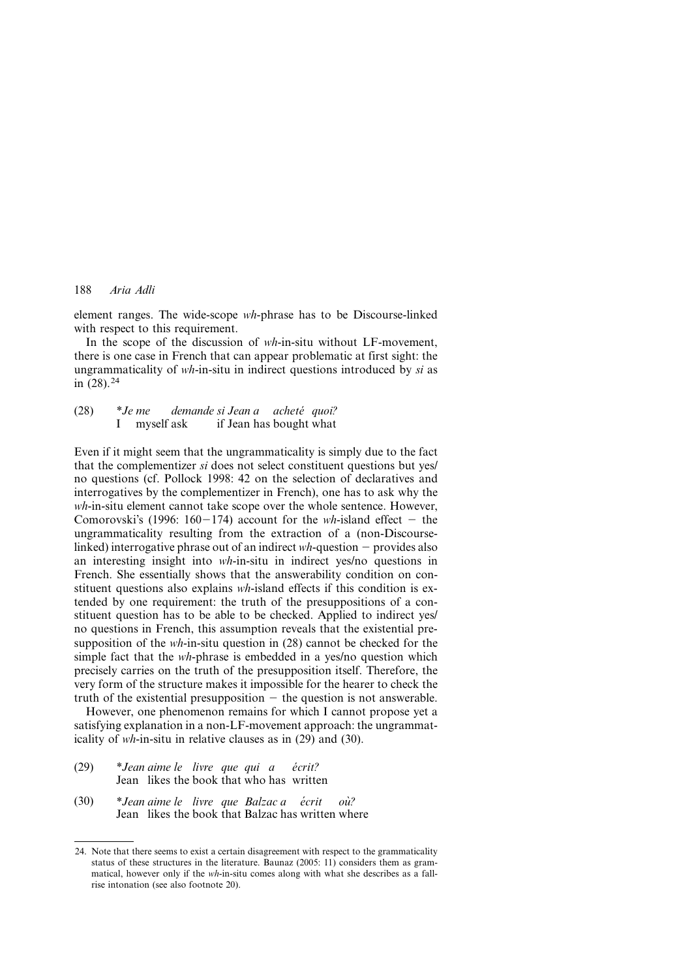element ranges. The wide-scope *wh*-phrase has to be Discourse-linked with respect to this requirement.

In the scope of the discussion of *wh*-in-situ without LF-movement, there is one case in French that can appear problematic at first sight: the ungrammaticality of *wh*-in-situ in indirect questions introduced by *si* as in  $(28)$ .<sup>24</sup>

 $(28)$ I *me* myself ask *demande si Jean a achete´ quoi?* if Jean has bought what

Even if it might seem that the ungrammaticality is simply due to the fact that the complementizer *si* does not select constituent questions but yes/ no questions (cf. Pollock 1998: 42 on the selection of declaratives and interrogatives by the complementizer in French), one has to ask why the *wh*-in-situ element cannot take scope over the whole sentence. However, Comorovski's (1996:  $160-174$ ) account for the *wh*-island effect - the ungrammaticality resulting from the extraction of a (non-Discourselinked) interrogative phrase out of an indirect *wh*-question – provides also an interesting insight into *wh*-in-situ in indirect yes/no questions in French. She essentially shows that the answerability condition on constituent questions also explains *wh*-island effects if this condition is extended by one requirement: the truth of the presuppositions of a constituent question has to be able to be checked. Applied to indirect yes/ no questions in French, this assumption reveals that the existential presupposition of the *wh*-in-situ question in (28) cannot be checked for the simple fact that the *wh*-phrase is embedded in a yes/no question which precisely carries on the truth of the presupposition itself. Therefore, the very form of the structure makes it impossible for the hearer to check the truth of the existential presupposition  $-$  the question is not answerable.

However, one phenomenon remains for which I cannot propose yet a satisfying explanation in a non-LF-movement approach: the ungrammaticality of *wh*-in-situ in relative clauses as in (29) and (30).

- (29) *\*Jean aime le livre que qui a* Jean likes the book that who has written *e´crit?*
- (30) *\*Jean aime le livre que Balzac a e´crit* Jean likes the book that Balzac has written where *ou`?*

<sup>24.</sup> Note that there seems to exist a certain disagreement with respect to the grammaticality status of these structures in the literature. Baunaz (2005: 11) considers them as grammatical, however only if the *wh*-in-situ comes along with what she describes as a fallrise intonation (see also footnote 20).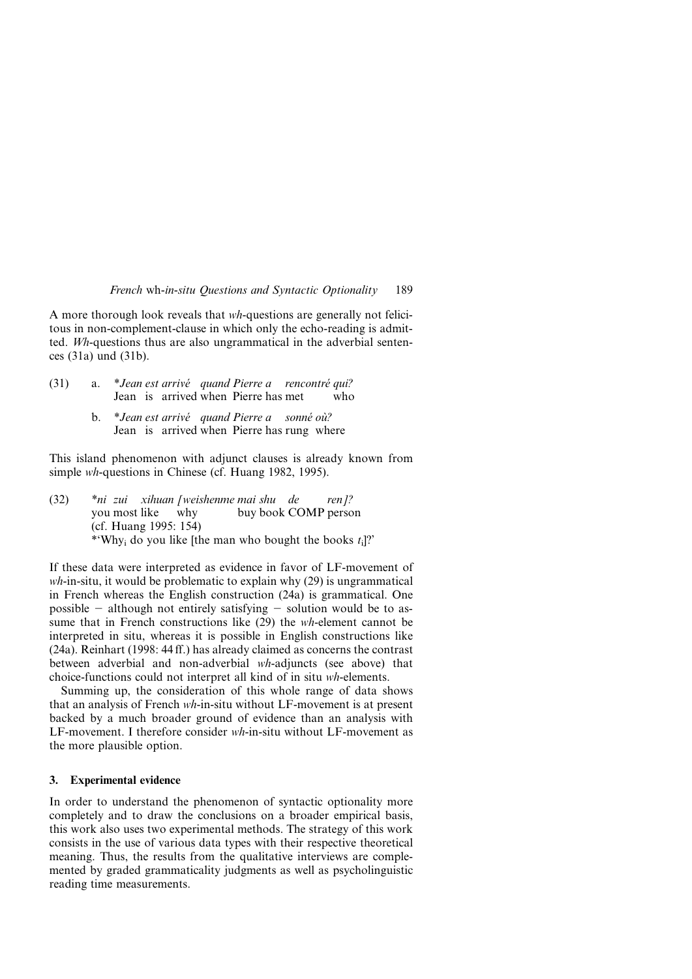A more thorough look reveals that *wh*-questions are generally not felicitous in non-complement-clause in which only the echo-reading is admitted. *Wh*-questions thus are also ungrammatical in the adverbial sentences (31a) und (31b).

- (31) a. *\*Jean est arrive´ quand Pierre a rencontre´ qui?* Jean is arrived when Pierre has met who
	- b. *\*Jean est arrive´ quand Pierre a sonne´ ou`?* Jean is arrived when Pierre has rung where

This island phenomenon with adjunct clauses is already known from simple *wh*-questions in Chinese (cf. Huang 1982, 1995).

 $(32)$ you most like *zui xihuan [weishenme mai shu de* why buy book COMP person *ren]?* (cf. Huang 1995: 154) \*'Whyi do you like [the man who bought the books *t*i]?'

If these data were interpreted as evidence in favor of LF-movement of *wh*-in-situ, it would be problematic to explain why (29) is ungrammatical in French whereas the English construction (24a) is grammatical. One possible – although not entirely satisfying – solution would be to assume that in French constructions like (29) the *wh*-element cannot be interpreted in situ, whereas it is possible in English constructions like (24a). Reinhart (1998: 44 ff.) has already claimed as concerns the contrast between adverbial and non-adverbial *wh*-adjuncts (see above) that choice-functions could not interpret all kind of in situ *wh*-elements.

Summing up, the consideration of this whole range of data shows that an analysis of French *wh*-in-situ without LF-movement is at present backed by a much broader ground of evidence than an analysis with LF-movement. I therefore consider *wh*-in-situ without LF-movement as the more plausible option.

# **3. Experimental evidence**

In order to understand the phenomenon of syntactic optionality more completely and to draw the conclusions on a broader empirical basis, this work also uses two experimental methods. The strategy of this work consists in the use of various data types with their respective theoretical meaning. Thus, the results from the qualitative interviews are complemented by graded grammaticality judgments as well as psycholinguistic reading time measurements.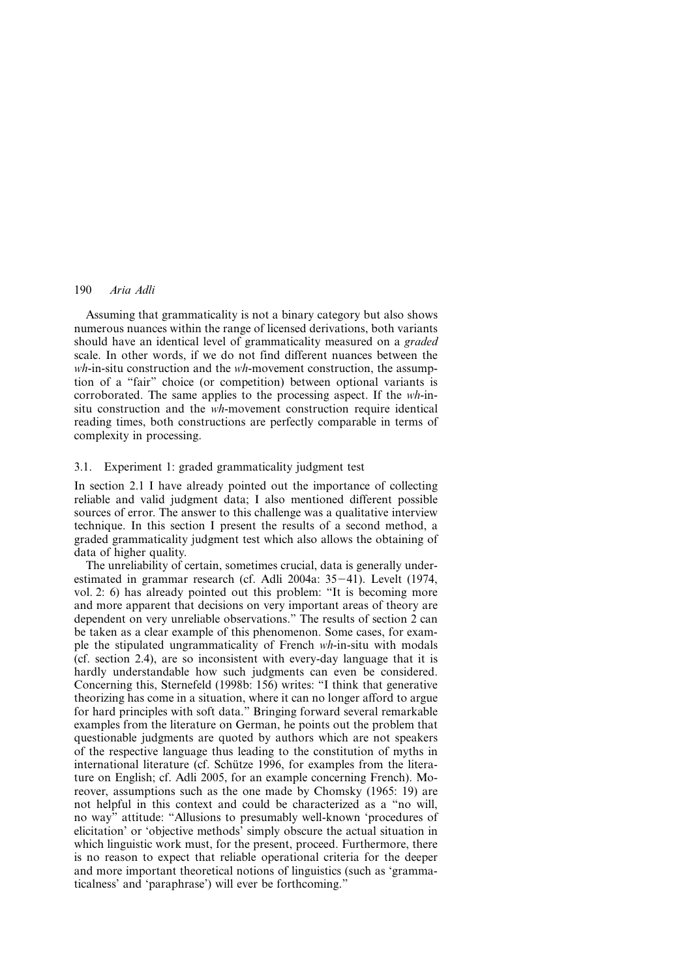Assuming that grammaticality is not a binary category but also shows numerous nuances within the range of licensed derivations, both variants should have an identical level of grammaticality measured on a *graded* scale. In other words, if we do not find different nuances between the *wh*-in-situ construction and the *wh*-movement construction, the assumption of a "fair" choice (or competition) between optional variants is corroborated. The same applies to the processing aspect. If the *wh*-insitu construction and the *wh*-movement construction require identical reading times, both constructions are perfectly comparable in terms of complexity in processing.

# 3.1. Experiment 1: graded grammaticality judgment test

In section 2.1 I have already pointed out the importance of collecting reliable and valid judgment data; I also mentioned different possible sources of error. The answer to this challenge was a qualitative interview technique. In this section I present the results of a second method, a graded grammaticality judgment test which also allows the obtaining of data of higher quality.

The unreliability of certain, sometimes crucial, data is generally underestimated in grammar research (cf. Adli 2004a: 35-41). Levelt (1974, vol. 2: 6) has already pointed out this problem: "It is becoming more and more apparent that decisions on very important areas of theory are dependent on very unreliable observations." The results of section 2 can be taken as a clear example of this phenomenon. Some cases, for example the stipulated ungrammaticality of French *wh*-in-situ with modals (cf. section 2.4), are so inconsistent with every-day language that it is hardly understandable how such judgments can even be considered. Concerning this, Sternefeld (1998b: 156) writes: "I think that generative theorizing has come in a situation, where it can no longer afford to argue for hard principles with soft data." Bringing forward several remarkable examples from the literature on German, he points out the problem that questionable judgments are quoted by authors which are not speakers of the respective language thus leading to the constitution of myths in international literature (cf. Schütze 1996, for examples from the literature on English; cf. Adli 2005, for an example concerning French). Moreover, assumptions such as the one made by Chomsky (1965: 19) are not helpful in this context and could be characterized as a "no will, no way" attitude: "Allusions to presumably well-known 'procedures of elicitation' or 'objective methods' simply obscure the actual situation in which linguistic work must, for the present, proceed. Furthermore, there is no reason to expect that reliable operational criteria for the deeper and more important theoretical notions of linguistics (such as 'grammaticalness' and 'paraphrase') will ever be forthcoming."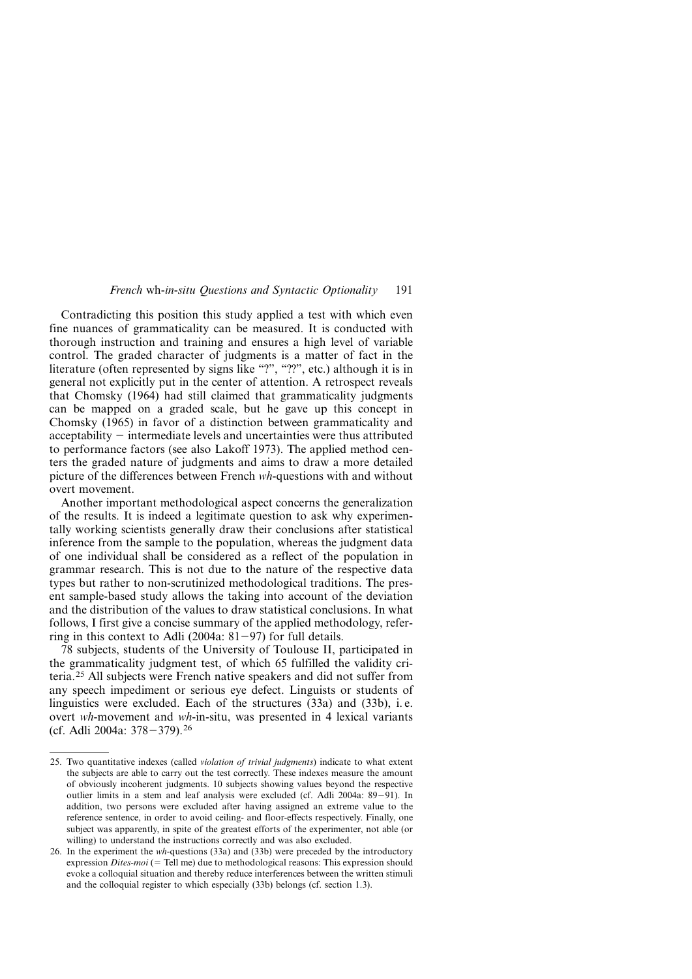Contradicting this position this study applied a test with which even fine nuances of grammaticality can be measured. It is conducted with thorough instruction and training and ensures a high level of variable control. The graded character of judgments is a matter of fact in the literature (often represented by signs like "?", "??", etc.) although it is in general not explicitly put in the center of attention. A retrospect reveals that Chomsky (1964) had still claimed that grammaticality judgments can be mapped on a graded scale, but he gave up this concept in Chomsky (1965) in favor of a distinction between grammaticality and acceptability – intermediate levels and uncertainties were thus attributed to performance factors (see also Lakoff 1973). The applied method centers the graded nature of judgments and aims to draw a more detailed picture of the differences between French *wh*-questions with and without overt movement.

Another important methodological aspect concerns the generalization of the results. It is indeed a legitimate question to ask why experimentally working scientists generally draw their conclusions after statistical inference from the sample to the population, whereas the judgment data of one individual shall be considered as a reflect of the population in grammar research. This is not due to the nature of the respective data types but rather to non-scrutinized methodological traditions. The present sample-based study allows the taking into account of the deviation and the distribution of the values to draw statistical conclusions. In what follows, I first give a concise summary of the applied methodology, referring in this context to Adli (2004a: 81-97) for full details.

78 subjects, students of the University of Toulouse II, participated in the grammaticality judgment test, of which 65 fulfilled the validity criteria.25 All subjects were French native speakers and did not suffer from any speech impediment or serious eye defect. Linguists or students of linguistics were excluded. Each of the structures (33a) and (33b), i. e. overt *wh*-movement and *wh*-in-situ, was presented in 4 lexical variants (cf. Adli 2004a: 378-379).26

<sup>25.</sup> Two quantitative indexes (called *violation of trivial judgments*) indicate to what extent the subjects are able to carry out the test correctly. These indexes measure the amount of obviously incoherent judgments. 10 subjects showing values beyond the respective outlier limits in a stem and leaf analysis were excluded (cf. Adli 2004a: 89-91). In addition, two persons were excluded after having assigned an extreme value to the reference sentence, in order to avoid ceiling- and floor-effects respectively. Finally, one subject was apparently, in spite of the greatest efforts of the experimenter, not able (or willing) to understand the instructions correctly and was also excluded.

<sup>26.</sup> In the experiment the *wh*-questions (33a) and (33b) were preceded by the introductory expression *Dites-moi* (= Tell me) due to methodological reasons: This expression should evoke a colloquial situation and thereby reduce interferences between the written stimuli and the colloquial register to which especially (33b) belongs (cf. section 1.3).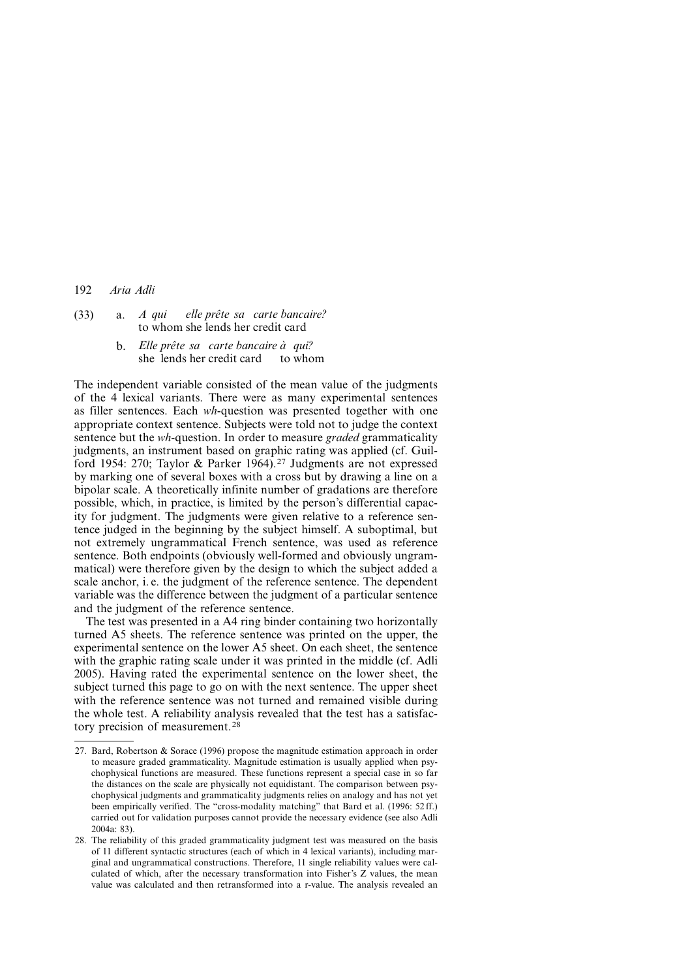$(33)$  a. to whom she lends her credit card *A qui elle preˆte sa carte bancaire?*

> **b**. Elle prête sa carte bancaire à qui? she lends her credit card to whom

The independent variable consisted of the mean value of the judgments of the 4 lexical variants. There were as many experimental sentences as filler sentences. Each *wh*-question was presented together with one appropriate context sentence. Subjects were told not to judge the context sentence but the *wh*-question. In order to measure *graded* grammaticality judgments, an instrument based on graphic rating was applied (cf. Guilford 1954: 270; Taylor & Parker 1964).<sup>27</sup> Judgments are not expressed by marking one of several boxes with a cross but by drawing a line on a bipolar scale. A theoretically infinite number of gradations are therefore possible, which, in practice, is limited by the person's differential capacity for judgment. The judgments were given relative to a reference sentence judged in the beginning by the subject himself. A suboptimal, but not extremely ungrammatical French sentence, was used as reference sentence. Both endpoints (obviously well-formed and obviously ungrammatical) were therefore given by the design to which the subject added a scale anchor, i. e. the judgment of the reference sentence. The dependent variable was the difference between the judgment of a particular sentence and the judgment of the reference sentence.

The test was presented in a A4 ring binder containing two horizontally turned A5 sheets. The reference sentence was printed on the upper, the experimental sentence on the lower A5 sheet. On each sheet, the sentence with the graphic rating scale under it was printed in the middle (cf. Adli 2005). Having rated the experimental sentence on the lower sheet, the subject turned this page to go on with the next sentence. The upper sheet with the reference sentence was not turned and remained visible during the whole test. A reliability analysis revealed that the test has a satisfactory precision of measurement.<sup>28</sup>

<sup>27.</sup> Bard, Robertson & Sorace (1996) propose the magnitude estimation approach in order to measure graded grammaticality. Magnitude estimation is usually applied when psychophysical functions are measured. These functions represent a special case in so far the distances on the scale are physically not equidistant. The comparison between psychophysical judgments and grammaticality judgments relies on analogy and has not yet been empirically verified. The "cross-modality matching" that Bard et al. (1996: 52 ff.) carried out for validation purposes cannot provide the necessary evidence (see also Adli 2004a: 83).

<sup>28.</sup> The reliability of this graded grammaticality judgment test was measured on the basis of 11 different syntactic structures (each of which in 4 lexical variants), including marginal and ungrammatical constructions. Therefore, 11 single reliability values were calculated of which, after the necessary transformation into Fisher's Z values, the mean value was calculated and then retransformed into a r-value. The analysis revealed an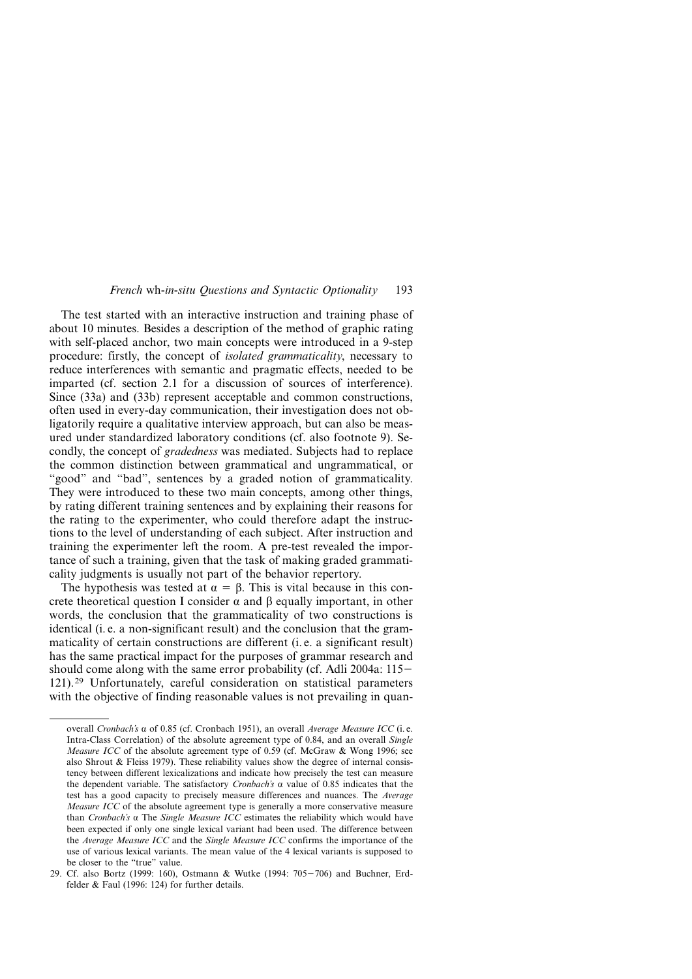The test started with an interactive instruction and training phase of about 10 minutes. Besides a description of the method of graphic rating with self-placed anchor, two main concepts were introduced in a 9-step procedure: firstly, the concept of *isolated grammaticality*, necessary to reduce interferences with semantic and pragmatic effects, needed to be imparted (cf. section 2.1 for a discussion of sources of interference). Since (33a) and (33b) represent acceptable and common constructions, often used in every-day communication, their investigation does not obligatorily require a qualitative interview approach, but can also be measured under standardized laboratory conditions (cf. also footnote 9). Secondly, the concept of *gradedness* was mediated. Subjects had to replace the common distinction between grammatical and ungrammatical, or "good" and "bad", sentences by a graded notion of grammaticality. They were introduced to these two main concepts, among other things, by rating different training sentences and by explaining their reasons for the rating to the experimenter, who could therefore adapt the instructions to the level of understanding of each subject. After instruction and training the experimenter left the room. A pre-test revealed the importance of such a training, given that the task of making graded grammaticality judgments is usually not part of the behavior repertory.

The hypothesis was tested at  $\alpha = \beta$ . This is vital because in this concrete theoretical question I consider  $\alpha$  and  $\beta$  equally important, in other words, the conclusion that the grammaticality of two constructions is identical (i. e. a non-significant result) and the conclusion that the grammaticality of certain constructions are different (i. e. a significant result) has the same practical impact for the purposes of grammar research and should come along with the same error probability (cf. Adli 2004a: 115- 121).29 Unfortunately, careful consideration on statistical parameters with the objective of finding reasonable values is not prevailing in quan-

overall *Cronbach's* a of 0.85 (cf. Cronbach 1951), an overall *Average Measure ICC* (i. e. Intra-Class Correlation) of the absolute agreement type of 0.84, and an overall *Single Measure ICC* of the absolute agreement type of 0.59 (cf. McGraw & Wong 1996; see also Shrout & Fleiss 1979). These reliability values show the degree of internal consistency between different lexicalizations and indicate how precisely the test can measure the dependent variable. The satisfactory *Cronbach's* a value of 0.85 indicates that the test has a good capacity to precisely measure differences and nuances. The *Average Measure ICC* of the absolute agreement type is generally a more conservative measure than *Cronbach's* a The *Single Measure ICC* estimates the reliability which would have been expected if only one single lexical variant had been used. The difference between the *Average Measure ICC* and the *Single Measure ICC* confirms the importance of the use of various lexical variants. The mean value of the 4 lexical variants is supposed to be closer to the "true" value.

<sup>29.</sup> Cf. also Bortz (1999: 160), Ostmann & Wutke (1994: 705-706) and Buchner, Erdfelder & Faul (1996: 124) for further details.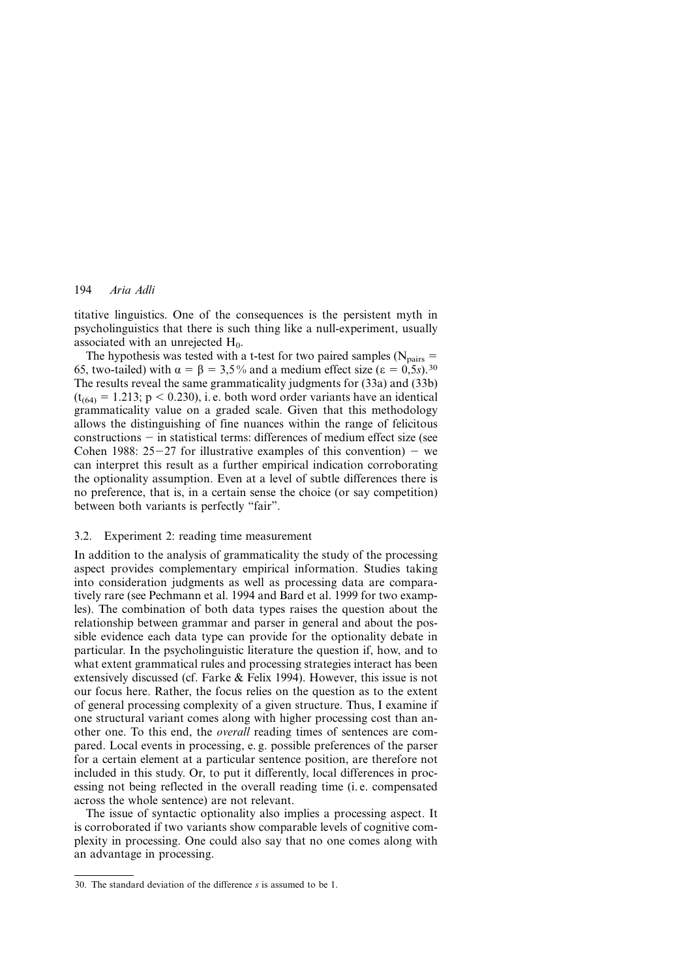titative linguistics. One of the consequences is the persistent myth in psycholinguistics that there is such thing like a null-experiment, usually associated with an unrejected  $H_0$ .

The hypothesis was tested with a t-test for two paired samples ( $N_{pairs}$  = 65, two-tailed) with  $\alpha = \beta = 3.5\%$  and a medium effect size ( $\varepsilon = 0.5$ *s*).<sup>30</sup> The results reveal the same grammaticality judgments for (33a) and (33b)  $(t<sub>(64)</sub> = 1.213; p < 0.230)$ , i.e. both word order variants have an identical grammaticality value on a graded scale. Given that this methodology allows the distinguishing of fine nuances within the range of felicitous constructions - in statistical terms: differences of medium effect size (see Cohen 1988:  $25-27$  for illustrative examples of this convention) - we can interpret this result as a further empirical indication corroborating the optionality assumption. Even at a level of subtle differences there is no preference, that is, in a certain sense the choice (or say competition) between both variants is perfectly "fair".

#### 3.2. Experiment 2: reading time measurement

In addition to the analysis of grammaticality the study of the processing aspect provides complementary empirical information. Studies taking into consideration judgments as well as processing data are comparatively rare (see Pechmann et al. 1994 and Bard et al. 1999 for two examples). The combination of both data types raises the question about the relationship between grammar and parser in general and about the possible evidence each data type can provide for the optionality debate in particular. In the psycholinguistic literature the question if, how, and to what extent grammatical rules and processing strategies interact has been extensively discussed (cf. Farke & Felix 1994). However, this issue is not our focus here. Rather, the focus relies on the question as to the extent of general processing complexity of a given structure. Thus, I examine if one structural variant comes along with higher processing cost than another one. To this end, the *overall* reading times of sentences are compared. Local events in processing, e. g. possible preferences of the parser for a certain element at a particular sentence position, are therefore not included in this study. Or, to put it differently, local differences in processing not being reflected in the overall reading time (i. e. compensated across the whole sentence) are not relevant.

The issue of syntactic optionality also implies a processing aspect. It is corroborated if two variants show comparable levels of cognitive complexity in processing. One could also say that no one comes along with an advantage in processing.

<sup>30.</sup> The standard deviation of the difference *s* is assumed to be 1.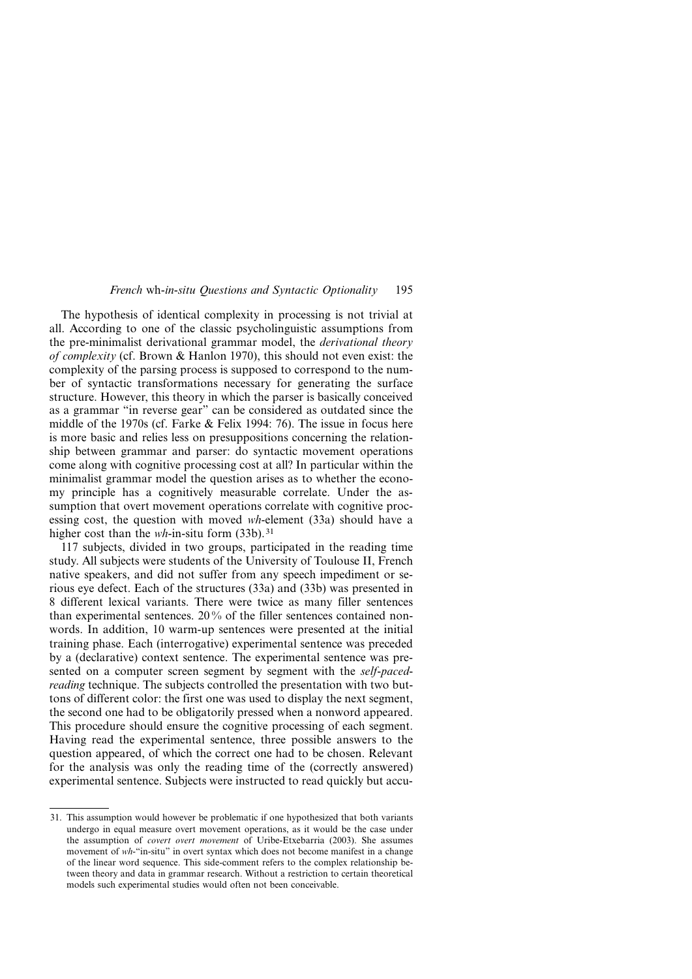The hypothesis of identical complexity in processing is not trivial at all. According to one of the classic psycholinguistic assumptions from the pre-minimalist derivational grammar model, the *derivational theory of complexity* (cf. Brown & Hanlon 1970), this should not even exist: the complexity of the parsing process is supposed to correspond to the number of syntactic transformations necessary for generating the surface structure. However, this theory in which the parser is basically conceived as a grammar "in reverse gear" can be considered as outdated since the middle of the 1970s (cf. Farke & Felix 1994: 76). The issue in focus here is more basic and relies less on presuppositions concerning the relationship between grammar and parser: do syntactic movement operations come along with cognitive processing cost at all? In particular within the minimalist grammar model the question arises as to whether the economy principle has a cognitively measurable correlate. Under the assumption that overt movement operations correlate with cognitive processing cost, the question with moved *wh*-element (33a) should have a higher cost than the *wh*-in-situ form (33b).<sup>31</sup>

117 subjects, divided in two groups, participated in the reading time study. All subjects were students of the University of Toulouse II, French native speakers, and did not suffer from any speech impediment or serious eye defect. Each of the structures (33a) and (33b) was presented in 8 different lexical variants. There were twice as many filler sentences than experimental sentences. 20 % of the filler sentences contained nonwords. In addition, 10 warm-up sentences were presented at the initial training phase. Each (interrogative) experimental sentence was preceded by a (declarative) context sentence. The experimental sentence was presented on a computer screen segment by segment with the *self-pacedreading* technique. The subjects controlled the presentation with two buttons of different color: the first one was used to display the next segment, the second one had to be obligatorily pressed when a nonword appeared. This procedure should ensure the cognitive processing of each segment. Having read the experimental sentence, three possible answers to the question appeared, of which the correct one had to be chosen. Relevant for the analysis was only the reading time of the (correctly answered) experimental sentence. Subjects were instructed to read quickly but accu-

<sup>31.</sup> This assumption would however be problematic if one hypothesized that both variants undergo in equal measure overt movement operations, as it would be the case under the assumption of *covert overt movement* of Uribe-Etxebarria (2003). She assumes movement of *wh*-"in-situ" in overt syntax which does not become manifest in a change of the linear word sequence. This side-comment refers to the complex relationship between theory and data in grammar research. Without a restriction to certain theoretical models such experimental studies would often not been conceivable.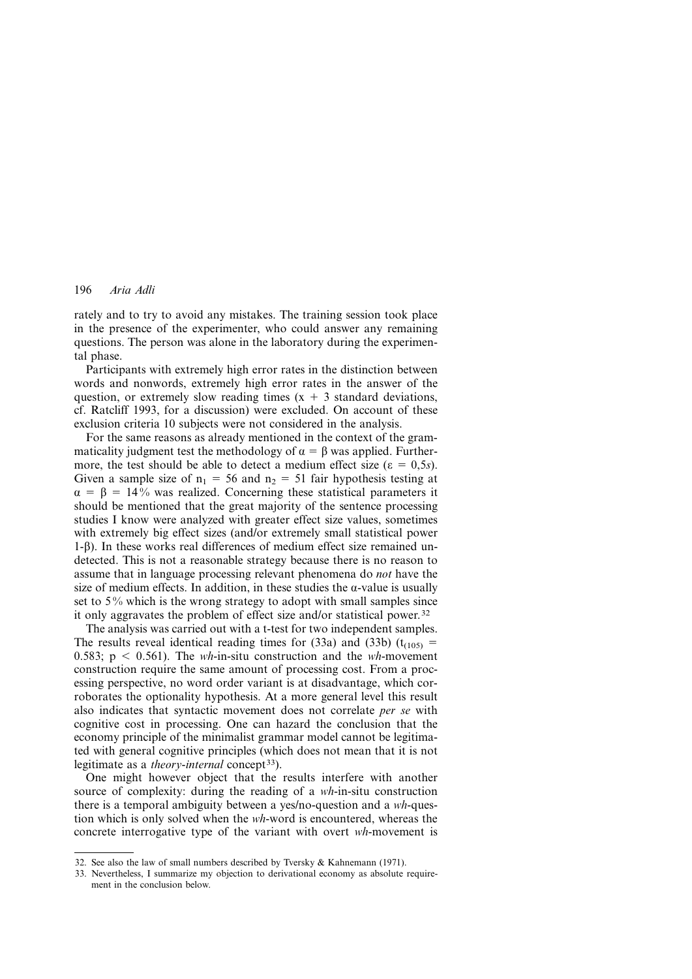rately and to try to avoid any mistakes. The training session took place in the presence of the experimenter, who could answer any remaining questions. The person was alone in the laboratory during the experimental phase.

Participants with extremely high error rates in the distinction between words and nonwords, extremely high error rates in the answer of the question, or extremely slow reading times  $(x + 3)$  standard deviations, cf. Ratcliff 1993, for a discussion) were excluded. On account of these exclusion criteria 10 subjects were not considered in the analysis.

For the same reasons as already mentioned in the context of the grammaticality judgment test the methodology of  $\alpha = \beta$  was applied. Furthermore, the test should be able to detect a medium effect size ( $\varepsilon = 0.5s$ ). Given a sample size of  $n_1 = 56$  and  $n_2 = 51$  fair hypothesis testing at  $\alpha = \beta = 14\%$  was realized. Concerning these statistical parameters it should be mentioned that the great majority of the sentence processing studies I know were analyzed with greater effect size values, sometimes with extremely big effect sizes (and/or extremely small statistical power 1-b). In these works real differences of medium effect size remained undetected. This is not a reasonable strategy because there is no reason to assume that in language processing relevant phenomena do *not* have the size of medium effects. In addition, in these studies the  $\alpha$ -value is usually set to 5 % which is the wrong strategy to adopt with small samples since it only aggravates the problem of effect size and/or statistical power.32

The analysis was carried out with a t-test for two independent samples. The results reveal identical reading times for (33a) and (33b) ( $t_{(105)}$  = 0.583; p < 0.561). The *wh*-in-situ construction and the *wh*-movement construction require the same amount of processing cost. From a processing perspective, no word order variant is at disadvantage, which corroborates the optionality hypothesis. At a more general level this result also indicates that syntactic movement does not correlate *per se* with cognitive cost in processing. One can hazard the conclusion that the economy principle of the minimalist grammar model cannot be legitimated with general cognitive principles (which does not mean that it is not legitimate as a *theory-internal* concept<sup>33</sup>).

One might however object that the results interfere with another source of complexity: during the reading of a *wh*-in-situ construction there is a temporal ambiguity between a yes/no-question and a *wh*-question which is only solved when the *wh*-word is encountered, whereas the concrete interrogative type of the variant with overt *wh*-movement is

<sup>32.</sup> See also the law of small numbers described by Tversky & Kahnemann (1971).

<sup>33.</sup> Nevertheless, I summarize my objection to derivational economy as absolute requirement in the conclusion below.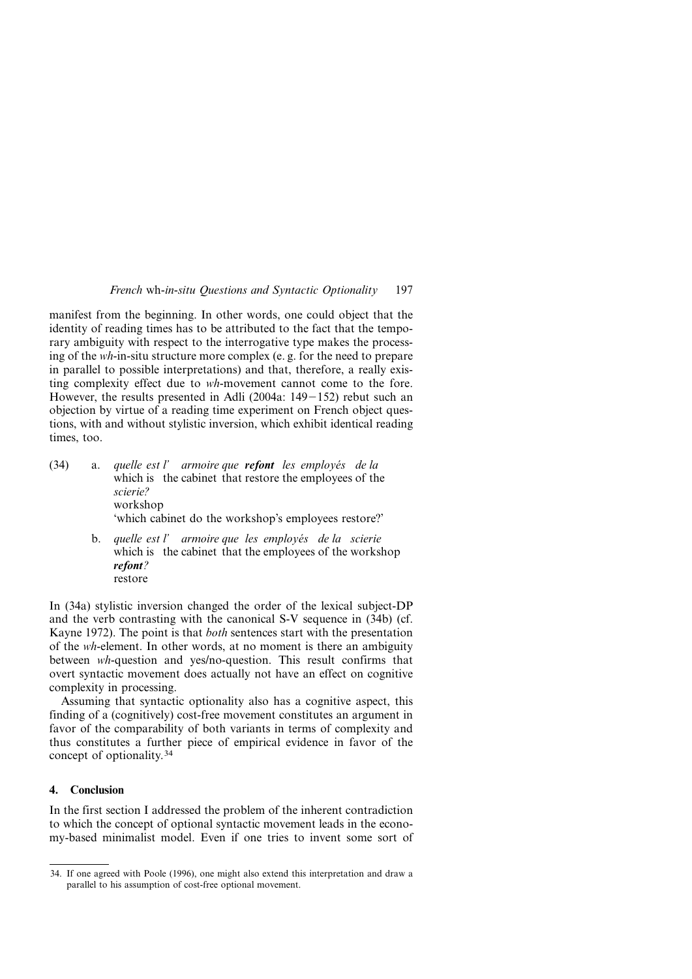manifest from the beginning. In other words, one could object that the identity of reading times has to be attributed to the fact that the temporary ambiguity with respect to the interrogative type makes the processing of the *wh*-in-situ structure more complex (e. g. for the need to prepare in parallel to possible interpretations) and that, therefore, a really existing complexity effect due to *wh*-movement cannot come to the fore. However, the results presented in Adli (2004a: 149-152) rebut such an objection by virtue of a reading time experiment on French object questions, with and without stylistic inversion, which exhibit identical reading times, too.

- (34) a. quelle est l'armoire que **refont** les employés de la which is the cabinet that restore the employees of the *scierie?* workshop 'which cabinet do the workshop's employees restore?'
	- **b**. quelle est l' armoire que les employés de la scierie which is the cabinet that the employees of the workshop *refont?* restore

In (34a) stylistic inversion changed the order of the lexical subject-DP and the verb contrasting with the canonical S-V sequence in (34b) (cf. Kayne 1972). The point is that *both* sentences start with the presentation of the *wh*-element. In other words, at no moment is there an ambiguity between *wh*-question and yes/no-question. This result confirms that overt syntactic movement does actually not have an effect on cognitive complexity in processing.

Assuming that syntactic optionality also has a cognitive aspect, this finding of a (cognitively) cost-free movement constitutes an argument in favor of the comparability of both variants in terms of complexity and thus constitutes a further piece of empirical evidence in favor of the concept of optionality.34

# **4. Conclusion**

In the first section I addressed the problem of the inherent contradiction to which the concept of optional syntactic movement leads in the economy-based minimalist model. Even if one tries to invent some sort of

<sup>34.</sup> If one agreed with Poole (1996), one might also extend this interpretation and draw a parallel to his assumption of cost-free optional movement.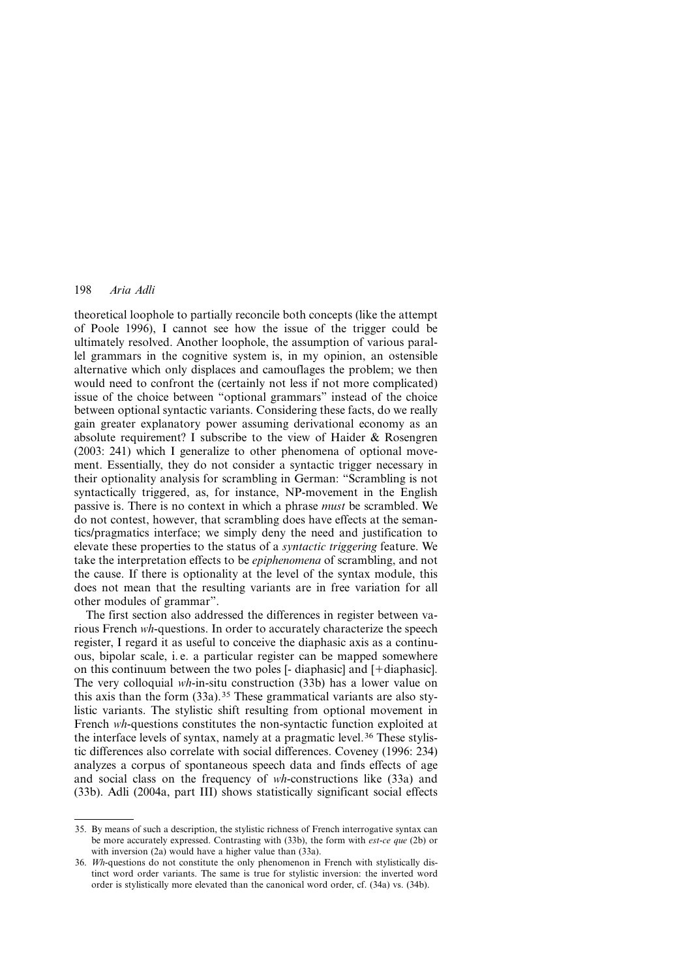theoretical loophole to partially reconcile both concepts (like the attempt of Poole 1996), I cannot see how the issue of the trigger could be ultimately resolved. Another loophole, the assumption of various parallel grammars in the cognitive system is, in my opinion, an ostensible alternative which only displaces and camouflages the problem; we then would need to confront the (certainly not less if not more complicated) issue of the choice between "optional grammars" instead of the choice between optional syntactic variants. Considering these facts, do we really gain greater explanatory power assuming derivational economy as an absolute requirement? I subscribe to the view of Haider & Rosengren (2003: 241) which I generalize to other phenomena of optional movement. Essentially, they do not consider a syntactic trigger necessary in their optionality analysis for scrambling in German: "Scrambling is not syntactically triggered, as, for instance, NP-movement in the English passive is. There is no context in which a phrase *must* be scrambled. We do not contest, however, that scrambling does have effects at the semantics/pragmatics interface; we simply deny the need and justification to elevate these properties to the status of a *syntactic triggering* feature. We take the interpretation effects to be *epiphenomena* of scrambling, and not the cause. If there is optionality at the level of the syntax module, this does not mean that the resulting variants are in free variation for all other modules of grammar".

The first section also addressed the differences in register between various French *wh*-questions. In order to accurately characterize the speech register, I regard it as useful to conceive the diaphasic axis as a continuous, bipolar scale, i. e. a particular register can be mapped somewhere on this continuum between the two poles  $\lceil \cdot \text{diaphasic} \rceil$  and  $\lceil \cdot \text{diaphasic} \rceil$ . The very colloquial *wh*-in-situ construction (33b) has a lower value on this axis than the form  $(33a)$ .<sup>35</sup> These grammatical variants are also stylistic variants. The stylistic shift resulting from optional movement in French *wh*-questions constitutes the non-syntactic function exploited at the interface levels of syntax, namely at a pragmatic level.<sup>36</sup> These stylistic differences also correlate with social differences. Coveney (1996: 234) analyzes a corpus of spontaneous speech data and finds effects of age and social class on the frequency of *wh*-constructions like (33a) and (33b). Adli (2004a, part III) shows statistically significant social effects

<sup>35.</sup> By means of such a description, the stylistic richness of French interrogative syntax can be more accurately expressed. Contrasting with (33b), the form with *est-ce que* (2b) or with inversion (2a) would have a higher value than (33a).

<sup>36.</sup> *Wh*-questions do not constitute the only phenomenon in French with stylistically distinct word order variants. The same is true for stylistic inversion: the inverted word order is stylistically more elevated than the canonical word order, cf. (34a) vs. (34b).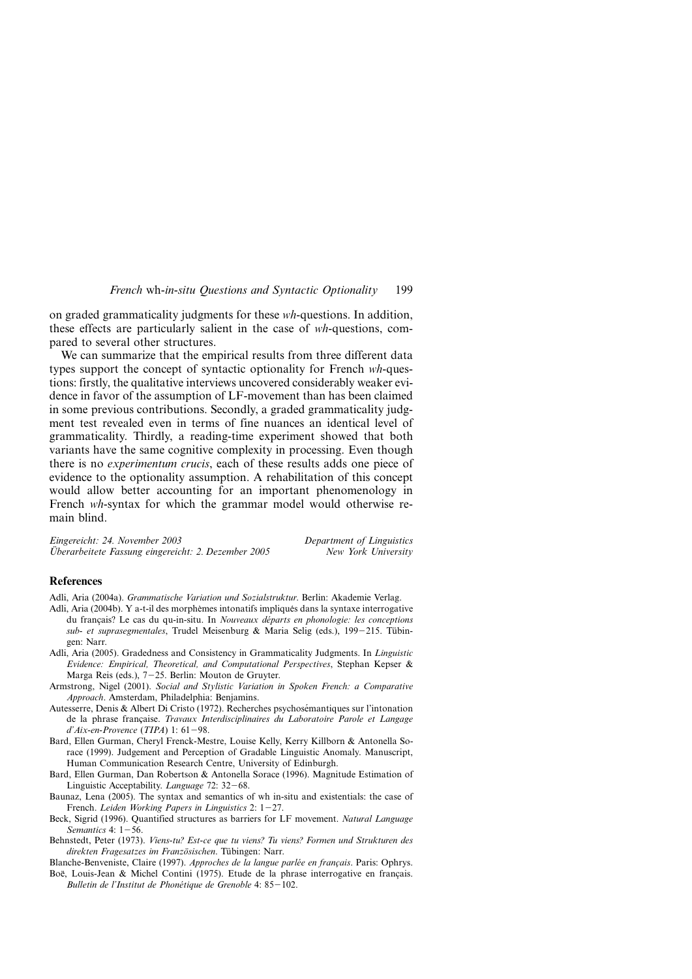on graded grammaticality judgments for these *wh*-questions. In addition, these effects are particularly salient in the case of *wh*-questions, compared to several other structures.

We can summarize that the empirical results from three different data types support the concept of syntactic optionality for French *wh*-questions: firstly, the qualitative interviews uncovered considerably weaker evidence in favor of the assumption of LF-movement than has been claimed in some previous contributions. Secondly, a graded grammaticality judgment test revealed even in terms of fine nuances an identical level of grammaticality. Thirdly, a reading-time experiment showed that both variants have the same cognitive complexity in processing. Even though there is no *experimentum crucis*, each of these results adds one piece of evidence to the optionality assumption. A rehabilitation of this concept would allow better accounting for an important phenomenology in French *wh*-syntax for which the grammar model would otherwise remain blind.

*Eingereicht: 24. November 2003 Department of Linguistics* Überarbeitete Fassung eingereicht: 2. Dezember 2005

# **References**

- Adli, Aria (2004a). *Grammatische Variation und Sozialstruktur*. Berlin: Akademie Verlag.
- Adli, Aria (2004b). Y a-t-il des morphèmes intonatifs impliqués dans la syntaxe interrogative du français? Le cas du qu-in-situ. In *Nouveaux départs en phonologie: les conceptions sub- et suprasegmentales*, Trudel Meisenburg & Maria Selig (eds.), 199-215. Tübingen: Narr.
- Adli, Aria (2005). Gradedness and Consistency in Grammaticality Judgments. In *Linguistic Evidence: Empirical, Theoretical, and Computational Perspectives*, Stephan Kepser & Marga Reis (eds.), 7-25. Berlin: Mouton de Gruyter.
- Armstrong, Nigel (2001). *Social and Stylistic Variation in Spoken French: a Comparative Approach*. Amsterdam, Philadelphia: Benjamins.
- Autesserre, Denis & Albert Di Cristo (1972). Recherches psychosémantiques sur l'intonation de la phrase française. *Travaux Interdisciplinaires du Laboratoire Parole et Langage d'Aix-en-Provence* (*TIPA*) 1: 61-98.
- Bard, Ellen Gurman, Cheryl Frenck-Mestre, Louise Kelly, Kerry Killborn & Antonella Sorace (1999). Judgement and Perception of Gradable Linguistic Anomaly. Manuscript, Human Communication Research Centre, University of Edinburgh.
- Bard, Ellen Gurman, Dan Robertson & Antonella Sorace (1996). Magnitude Estimation of Linguistic Acceptability. *Language* 72: 32-68.
- Baunaz, Lena (2005). The syntax and semantics of wh in-situ and existentials: the case of French. *Leiden Working Papers in Linguistics* 2: 1-27.
- Beck, Sigrid (1996). Quantified structures as barriers for LF movement. *Natural Language Semantics* 4: 1-56.
- Behnstedt, Peter (1973). *Viens-tu? Est-ce que tu viens? Tu viens? Formen und Strukturen des direkten Fragesatzes im Französischen*. Tübingen: Narr.
- Blanche-Benveniste, Claire (1997). *Approches de la langue parlée en français*. Paris: Ophrys.
- Boë, Louis-Jean & Michel Contini (1975). Etude de la phrase interrogative en francais. Bulletin de l'Institut de Phonétique de Grenoble 4: 85-102.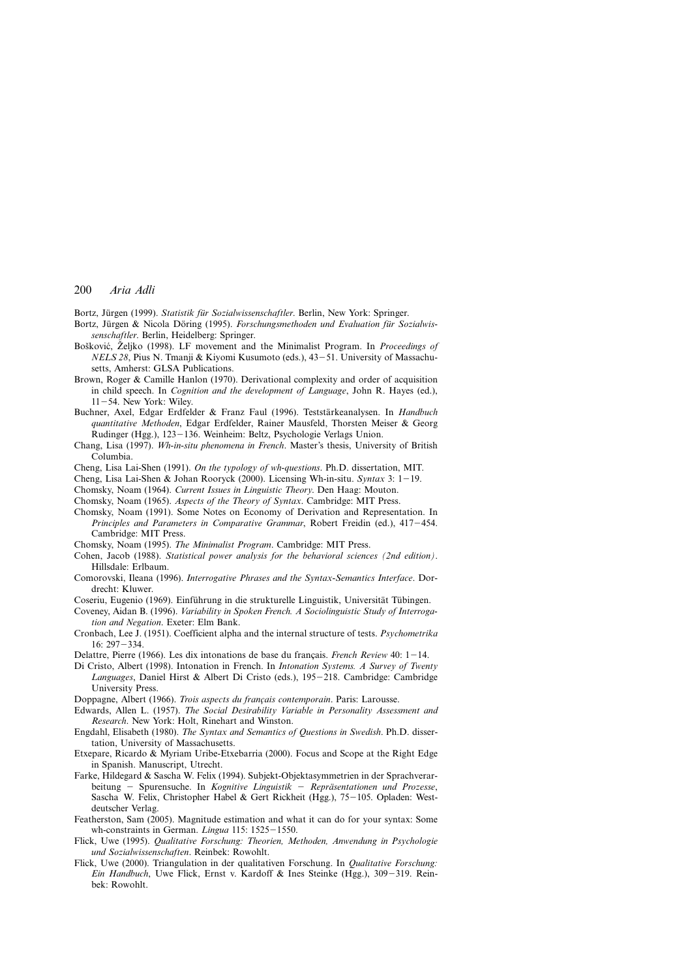Bortz, Jürgen (1999). *Statistik für Sozialwissenschaftler*. Berlin, New York: Springer.

- Bortz, Jürgen & Nicola Döring (1995). *Forschungsmethoden und Evaluation für Sozialwissenschaftler*. Berlin, Heidelberg: Springer.
- Bošković, Željko (1998). LF movement and the Minimalist Program. In *Proceedings of NELS 28*, Pius N. Tmanji & Kiyomi Kusumoto (eds.), 43-51. University of Massachusetts, Amherst: GLSA Publications.
- Brown, Roger & Camille Hanlon (1970). Derivational complexity and order of acquisition in child speech. In *Cognition and the development of Language*, John R. Hayes (ed.), 11-54. New York: Wiley.
- Buchner, Axel, Edgar Erdfelder & Franz Faul (1996). Teststärkeanalysen. In *Handbuch quantitative Methoden*, Edgar Erdfelder, Rainer Mausfeld, Thorsten Meiser & Georg Rudinger (Hgg.), 123-136. Weinheim: Beltz, Psychologie Verlags Union.
- Chang, Lisa (1997). *Wh-in-situ phenomena in French*. Master's thesis, University of British Columbia.
- Cheng, Lisa Lai-Shen (1991). *On the typology of wh-questions*. Ph.D. dissertation, MIT.
- Cheng, Lisa Lai-Shen & Johan Rooryck (2000). Licensing Wh-in-situ. *Syntax* 3: 1-19.

Chomsky, Noam (1964). *Current Issues in Linguistic Theory*. Den Haag: Mouton.

- Chomsky, Noam (1965). *Aspects of the Theory of Syntax*. Cambridge: MIT Press.
- Chomsky, Noam (1991). Some Notes on Economy of Derivation and Representation. In *Principles and Parameters in Comparative Grammar*, Robert Freidin (ed.), 417-454. Cambridge: MIT Press.
- Chomsky, Noam (1995). *The Minimalist Program*. Cambridge: MIT Press.
- Cohen, Jacob (1988). *Statistical power analysis for the behavioral sciences (2nd edition)*. Hillsdale: Erlbaum.
- Comorovski, Ileana (1996). *Interrogative Phrases and the Syntax-Semantics Interface*. Dordrecht: Kluwer.
- Coseriu, Eugenio (1969). Einführung in die strukturelle Linguistik, Universität Tübingen.
- Coveney, Aidan B. (1996). *Variability in Spoken French. A Sociolinguistic Study of Interrogation and Negation*. Exeter: Elm Bank.
- Cronbach, Lee J. (1951). Coefficient alpha and the internal structure of tests. *Psychometrika* 16: 297-334.
- Delattre, Pierre (1966). Les dix intonations de base du français. *French Review* 40: 1-14.
- Di Cristo, Albert (1998). Intonation in French. In *Intonation Systems. A Survey of Twenty Languages*, Daniel Hirst & Albert Di Cristo (eds.), 195-218. Cambridge: Cambridge University Press.
- Doppagne, Albert (1966). *Trois aspects du français contemporain*. Paris: Larousse.
- Edwards, Allen L. (1957). *The Social Desirability Variable in Personality Assessment and Research*. New York: Holt, Rinehart and Winston.
- Engdahl, Elisabeth (1980). *The Syntax and Semantics of Questions in Swedish*. Ph.D. dissertation, University of Massachusetts.
- Etxepare, Ricardo & Myriam Uribe-Etxebarria (2000). Focus and Scope at the Right Edge in Spanish. Manuscript, Utrecht.
- Farke, Hildegard & Sascha W. Felix (1994). Subjekt-Objektasymmetrien in der Sprachverarbeitung - Spurensuche. In Kognitive Linguistik - Repräsentationen und Prozesse, Sascha W. Felix, Christopher Habel & Gert Rickheit (Hgg.), 75-105. Opladen: Westdeutscher Verlag.
- Featherston, Sam (2005). Magnitude estimation and what it can do for your syntax: Some wh-constraints in German. *Lingua* 115: 1525-1550.
- Flick, Uwe (1995). *Qualitative Forschung: Theorien, Methoden, Anwendung in Psychologie und Sozialwissenschaften*. Reinbek: Rowohlt.
- Flick, Uwe (2000). Triangulation in der qualitativen Forschung. In *Qualitative Forschung: Ein Handbuch*, Uwe Flick, Ernst v. Kardoff & Ines Steinke (Hgg.), 309-319. Reinbek: Rowohlt.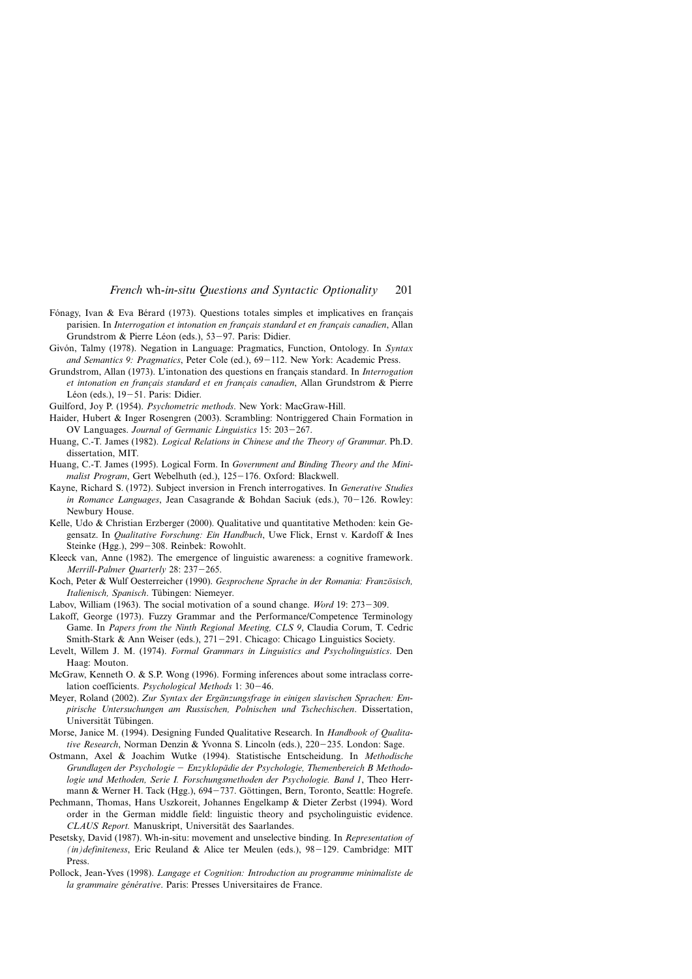- Fónagy, Ivan & Eva Bérard (1973). Questions totales simples et implicatives en francais parisien. In *Interrogation et intonation en français standard et en français canadien*, Allan Grundstrom & Pierre Léon (eds.), 53-97. Paris: Didier.
- Givón, Talmy (1978). Negation in Language: Pragmatics, Function, Ontology. In *Syntax* and Semantics 9: Pragmatics, Peter Cole (ed.), 69-112. New York: Academic Press.
- Grundstrom, Allan (1973). L'intonation des questions en français standard. In *Interrogation* et intonation en français standard et en français canadien, Allan Grundstrom & Pierre Léon (eds.), 19-51. Paris: Didier.
- Guilford, Joy P. (1954). *Psychometric methods*. New York: MacGraw-Hill.
- Haider, Hubert & Inger Rosengren (2003). Scrambling: Nontriggered Chain Formation in OV Languages. *Journal of Germanic Linguistics* 15: 203-267.
- Huang, C.-T. James (1982). *Logical Relations in Chinese and the Theory of Grammar*. Ph.D. dissertation, MIT.
- Huang, C.-T. James (1995). Logical Form. In *Government and Binding Theory and the Minimalist Program*, Gert Webelhuth (ed.), 125-176. Oxford: Blackwell.
- Kayne, Richard S. (1972). Subject inversion in French interrogatives. In *Generative Studies in Romance Languages*, Jean Casagrande & Bohdan Saciuk (eds.), 70-126. Rowley: Newbury House.
- Kelle, Udo & Christian Erzberger (2000). Qualitative und quantitative Methoden: kein Gegensatz. In *Qualitative Forschung: Ein Handbuch*, Uwe Flick, Ernst v. Kardoff & Ines Steinke (Hgg.), 299-308. Reinbek: Rowohlt.
- Kleeck van, Anne (1982). The emergence of linguistic awareness: a cognitive framework. *Merrill-Palmer Quarterly* 28: 237-265.
- Koch, Peter & Wulf Oesterreicher (1990). *Gesprochene Sprache in der Romania: Französisch, Italienisch, Spanisch*. Tübingen: Niemeyer.
- Labov, William (1963). The social motivation of a sound change. *Word* 19: 273-309.
- Lakoff, George (1973). Fuzzy Grammar and the Performance/Competence Terminology Game. In *Papers from the Ninth Regional Meeting, CLS 9*, Claudia Corum, T. Cedric Smith-Stark & Ann Weiser (eds.), 271-291. Chicago: Chicago Linguistics Society.
- Levelt, Willem J. M. (1974). *Formal Grammars in Linguistics and Psycholinguistics*. Den Haag: Mouton.
- McGraw, Kenneth O. & S.P. Wong (1996). Forming inferences about some intraclass correlation coefficients. *Psychological Methods* 1: 30-46.
- Meyer, Roland (2002). *Zur Syntax der Ergänzungsfrage in einigen slavischen Sprachen: Empirische Untersuchungen am Russischen, Polnischen und Tschechischen*. Dissertation, Universität Tübingen.
- Morse, Janice M. (1994). Designing Funded Qualitative Research. In *Handbook of Qualitative Research*, Norman Denzin & Yvonna S. Lincoln (eds.), 220-235. London: Sage.
- Ostmann, Axel & Joachim Wutke (1994). Statistische Entscheidung. In *Methodische Grundlagen der Psychologie* - *Enzyklopädie der Psychologie, Themenbereich B Methodologie und Methoden, Serie I. Forschungsmethoden der Psychologie. Band 1*, Theo Herrmann & Werner H. Tack (Hgg.), 694-737. Göttingen, Bern, Toronto, Seattle: Hogrefe.
- Pechmann, Thomas, Hans Uszkoreit, Johannes Engelkamp & Dieter Zerbst (1994). Word order in the German middle field: linguistic theory and psycholinguistic evidence. *CLAUS Report.* Manuskript, Universität des Saarlandes.
- Pesetsky, David (1987). Wh-in-situ: movement and unselective binding. In *Representation of (in)definiteness*, Eric Reuland & Alice ter Meulen (eds.), 98-129. Cambridge: MIT Press.
- Pollock, Jean-Yves (1998). *Langage et Cognition: Introduction au programme minimaliste de* la grammaire générative. Paris: Presses Universitaires de France.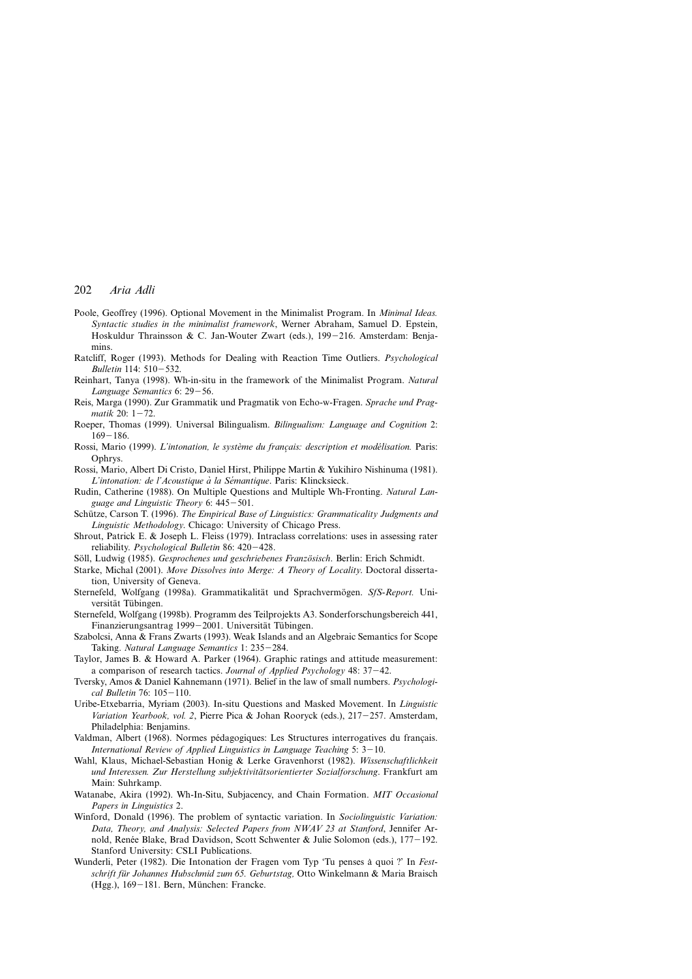- Poole, Geoffrey (1996). Optional Movement in the Minimalist Program. In *Minimal Ideas. Syntactic studies in the minimalist framework*, Werner Abraham, Samuel D. Epstein, Hoskuldur Thrainsson & C. Jan-Wouter Zwart (eds.), 199-216. Amsterdam: Benjamins.
- Ratcliff, Roger (1993). Methods for Dealing with Reaction Time Outliers. *Psychological Bulletin* 114: 510-532.
- Reinhart, Tanya (1998). Wh-in-situ in the framework of the Minimalist Program. *Natural Language Semantics* 6: 29-56.
- Reis, Marga (1990). Zur Grammatik und Pragmatik von Echo-w-Fragen. *Sprache und Pragmatik* 20: 1-72.
- Roeper, Thomas (1999). Universal Bilingualism. *Bilingualism: Language and Cognition* 2: 169-186.
- Rossi, Mario (1999). *L'intonation, le système du français: description et modélisation*. Paris: Ophrys.
- Rossi, Mario, Albert Di Cristo, Daniel Hirst, Philippe Martin & Yukihiro Nishinuma (1981). *L'intonation: de l'Acoustique à la Sémantique*. Paris: Klincksieck.
- Rudin, Catherine (1988). On Multiple Questions and Multiple Wh-Fronting. *Natural Language and Linguistic Theory* 6: 445-501.
- Schütze, Carson T. (1996). *The Empirical Base of Linguistics: Grammaticality Judgments and Linguistic Methodology*. Chicago: University of Chicago Press.
- Shrout, Patrick E. & Joseph L. Fleiss (1979). Intraclass correlations: uses in assessing rater reliability. *Psychological Bulletin* 86: 420-428.
- Söll, Ludwig (1985). *Gesprochenes und geschriebenes Französisch*. Berlin: Erich Schmidt.
- Starke, Michal (2001). *Move Dissolves into Merge: A Theory of Locality*. Doctoral dissertation, University of Geneva.
- Sternefeld, Wolfgang (1998a). Grammatikalität und Sprachvermögen. *SfS-Report.* Universität Tübingen.
- Sternefeld, Wolfgang (1998b). Programm des Teilprojekts A3. Sonderforschungsbereich 441, Finanzierungsantrag 1999-2001. Universität Tübingen.
- Szabolcsi, Anna & Frans Zwarts (1993). Weak Islands and an Algebraic Semantics for Scope Taking. *Natural Language Semantics* 1: 235-284.
- Taylor, James B. & Howard A. Parker (1964). Graphic ratings and attitude measurement: a comparison of research tactics. *Journal of Applied Psychology* 48: 37-42.
- Tversky, Amos & Daniel Kahnemann (1971). Belief in the law of small numbers. *Psychological Bulletin* 76: 105-110.
- Uribe-Etxebarria, Myriam (2003). In-situ Questions and Masked Movement. In *Linguistic Variation Yearbook, vol. 2*, Pierre Pica & Johan Rooryck (eds.), 217-257. Amsterdam, Philadelphia: Benjamins.
- Valdman, Albert (1968). Normes pédagogiques: Les Structures interrogatives du français. *International Review of Applied Linguistics in Language Teaching* 5: 3-10.
- Wahl, Klaus, Michael-Sebastian Honig & Lerke Gravenhorst (1982). *Wissenschaftlichkeit und Interessen. Zur Herstellung subjektivitätsorientierter Sozialforschung*. Frankfurt am Main: Suhrkamp.
- Watanabe, Akira (1992). Wh-In-Situ, Subjacency, and Chain Formation. *MIT Occasional Papers in Linguistics* 2.
- Winford, Donald (1996). The problem of syntactic variation. In *Sociolinguistic Variation: Data, Theory, and Analysis: Selected Papers from NWAV 23 at Stanford*, Jennifer Arnold, Renée Blake, Brad Davidson, Scott Schwenter & Julie Solomon (eds.), 177-192. Stanford University: CSLI Publications.
- Wunderli, Peter (1982). Die Intonation der Fragen vom Typ 'Tu penses a` quoi ?' In *Festschrift für Johannes Hubschmid zum 65. Geburtstag,* Otto Winkelmann & Maria Braisch (Hgg.), 169-181. Bern, München: Francke.